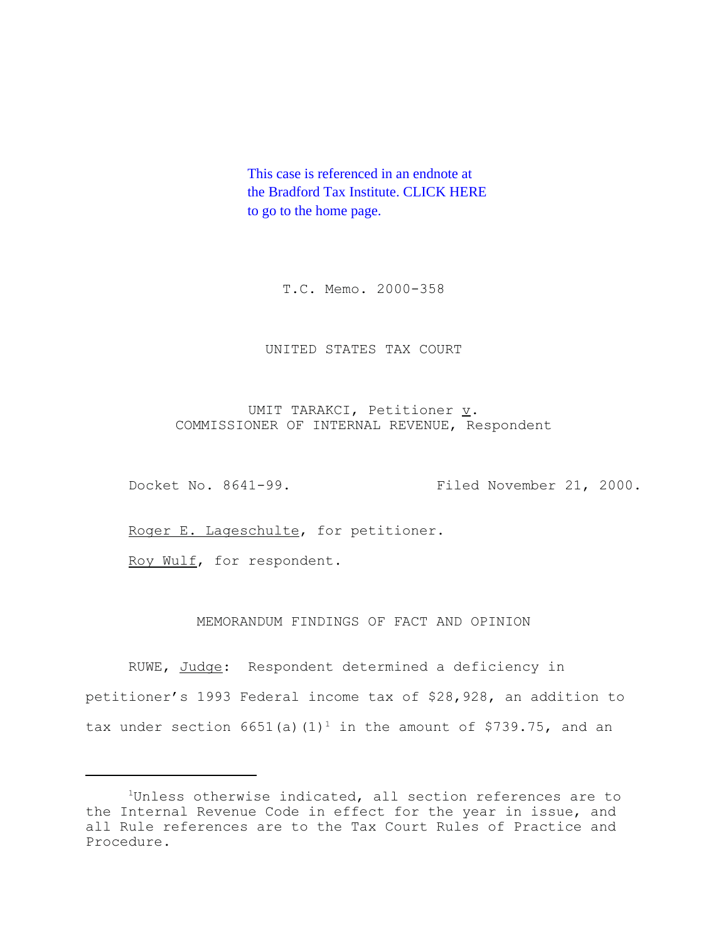This case is referenced in an endnote at [the Bradford Tax Institute. CLICK HERE](http://bradfordtaxinstitute.com/index1.aspx)  to go to the home page.

T.C. Memo. 2000-358

# UNITED STATES TAX COURT

UMIT TARAKCI, Petitioner  $\underline{v}$ . COMMISSIONER OF INTERNAL REVENUE, Respondent

Docket No. 8641-99. Filed November 21, 2000.

Roger E. Lageschulte, for petitioner.

Roy Wulf, for respondent.

# MEMORANDUM FINDINGS OF FACT AND OPINION

RUWE, Judge: Respondent determined a deficiency in petitioner's 1993 Federal income tax of \$28,928, an addition to tax under section 6651(a)(1)<sup>1</sup> in the amount of \$739.75, and an

<sup>&</sup>lt;sup>1</sup>Unless otherwise indicated, all section references are to the Internal Revenue Code in effect for the year in issue, and all Rule references are to the Tax Court Rules of Practice and Procedure.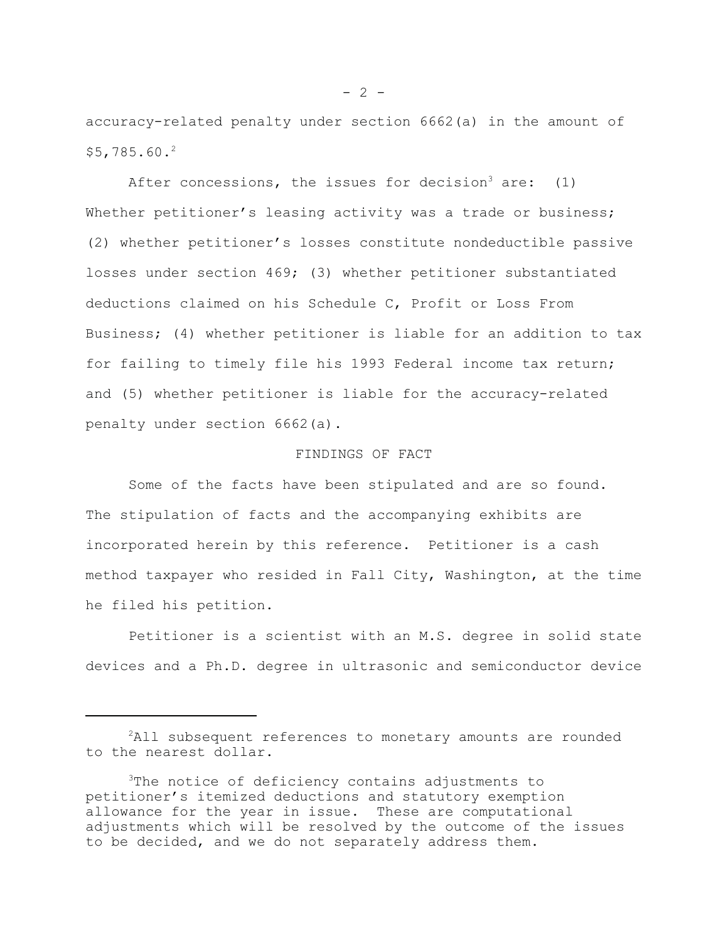accuracy-related penalty under section 6662(a) in the amount of \$5,785.60.2

After concessions, the issues for decision<sup>3</sup> are:  $(1)$ Whether petitioner's leasing activity was a trade or business; (2) whether petitioner's losses constitute nondeductible passive losses under section 469; (3) whether petitioner substantiated deductions claimed on his Schedule C, Profit or Loss From Business; (4) whether petitioner is liable for an addition to tax for failing to timely file his 1993 Federal income tax return; and (5) whether petitioner is liable for the accuracy-related penalty under section 6662(a).

### FINDINGS OF FACT

Some of the facts have been stipulated and are so found. The stipulation of facts and the accompanying exhibits are incorporated herein by this reference. Petitioner is a cash method taxpayer who resided in Fall City, Washington, at the time he filed his petition.

Petitioner is a scientist with an M.S. degree in solid state devices and a Ph.D. degree in ultrasonic and semiconductor device

<sup>&</sup>lt;sup>2</sup>All subsequent references to monetary amounts are rounded to the nearest dollar.

<sup>&</sup>lt;sup>3</sup>The notice of deficiency contains adjustments to petitioner's itemized deductions and statutory exemption allowance for the year in issue. These are computational adjustments which will be resolved by the outcome of the issues to be decided, and we do not separately address them.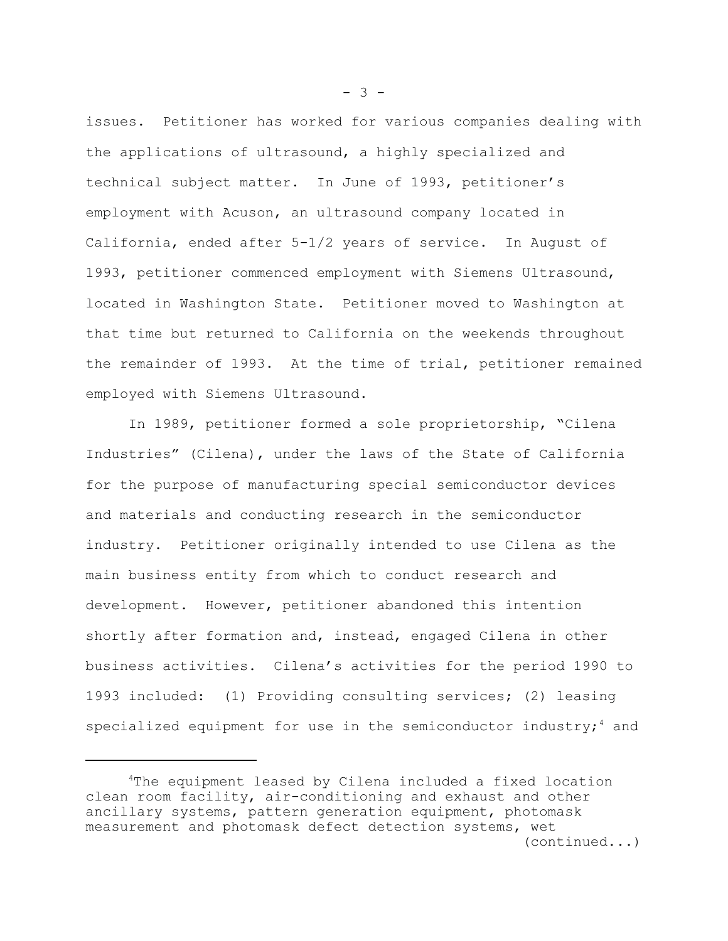issues. Petitioner has worked for various companies dealing with the applications of ultrasound, a highly specialized and technical subject matter. In June of 1993, petitioner's employment with Acuson, an ultrasound company located in California, ended after 5-1/2 years of service. In August of 1993, petitioner commenced employment with Siemens Ultrasound, located in Washington State. Petitioner moved to Washington at that time but returned to California on the weekends throughout the remainder of 1993. At the time of trial, petitioner remained employed with Siemens Ultrasound.

In 1989, petitioner formed a sole proprietorship, "Cilena Industries" (Cilena), under the laws of the State of California for the purpose of manufacturing special semiconductor devices and materials and conducting research in the semiconductor industry. Petitioner originally intended to use Cilena as the main business entity from which to conduct research and development. However, petitioner abandoned this intention shortly after formation and, instead, engaged Cilena in other business activities. Cilena's activities for the period 1990 to 1993 included: (1) Providing consulting services; (2) leasing specialized equipment for use in the semiconductor industry;  $4$  and

 $- 3 -$ 

<sup>4</sup>The equipment leased by Cilena included a fixed location clean room facility, air-conditioning and exhaust and other ancillary systems, pattern generation equipment, photomask measurement and photomask defect detection systems, wet (continued...)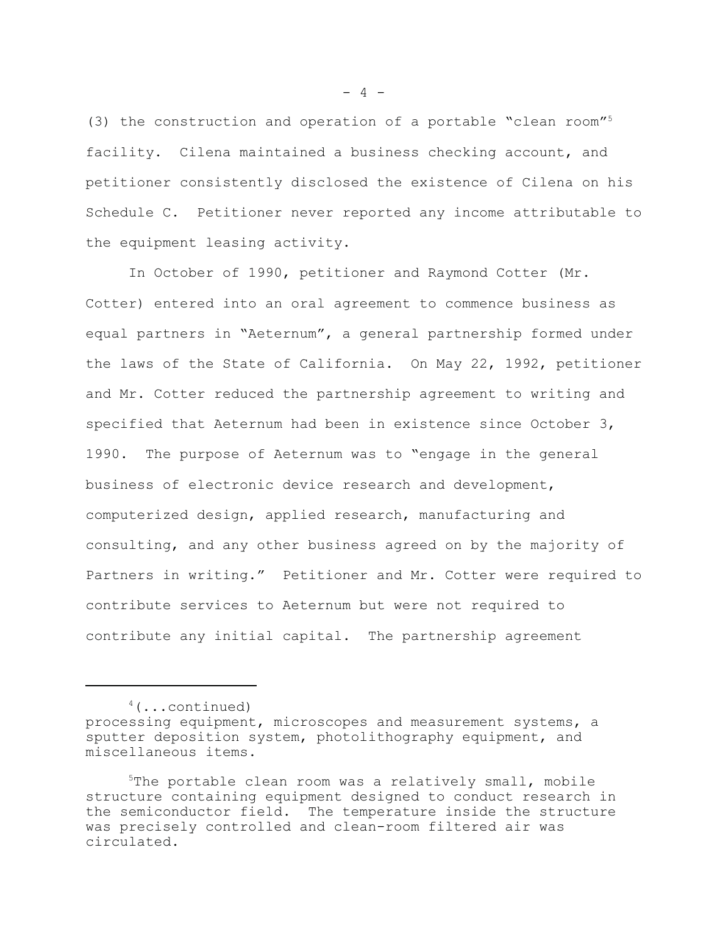(3) the construction and operation of a portable "clean room"5 facility. Cilena maintained a business checking account, and petitioner consistently disclosed the existence of Cilena on his Schedule C. Petitioner never reported any income attributable to the equipment leasing activity.

In October of 1990, petitioner and Raymond Cotter (Mr. Cotter) entered into an oral agreement to commence business as equal partners in "Aeternum", a general partnership formed under the laws of the State of California. On May 22, 1992, petitioner and Mr. Cotter reduced the partnership agreement to writing and specified that Aeternum had been in existence since October 3, 1990. The purpose of Aeternum was to "engage in the general business of electronic device research and development, computerized design, applied research, manufacturing and consulting, and any other business agreed on by the majority of Partners in writing." Petitioner and Mr. Cotter were required to contribute services to Aeternum but were not required to contribute any initial capital. The partnership agreement

 $4$ (...continued)

 $- 4 -$ 

processing equipment, microscopes and measurement systems, a sputter deposition system, photolithography equipment, and miscellaneous items.

 $5$ The portable clean room was a relatively small, mobile structure containing equipment designed to conduct research in the semiconductor field. The temperature inside the structure was precisely controlled and clean-room filtered air was circulated.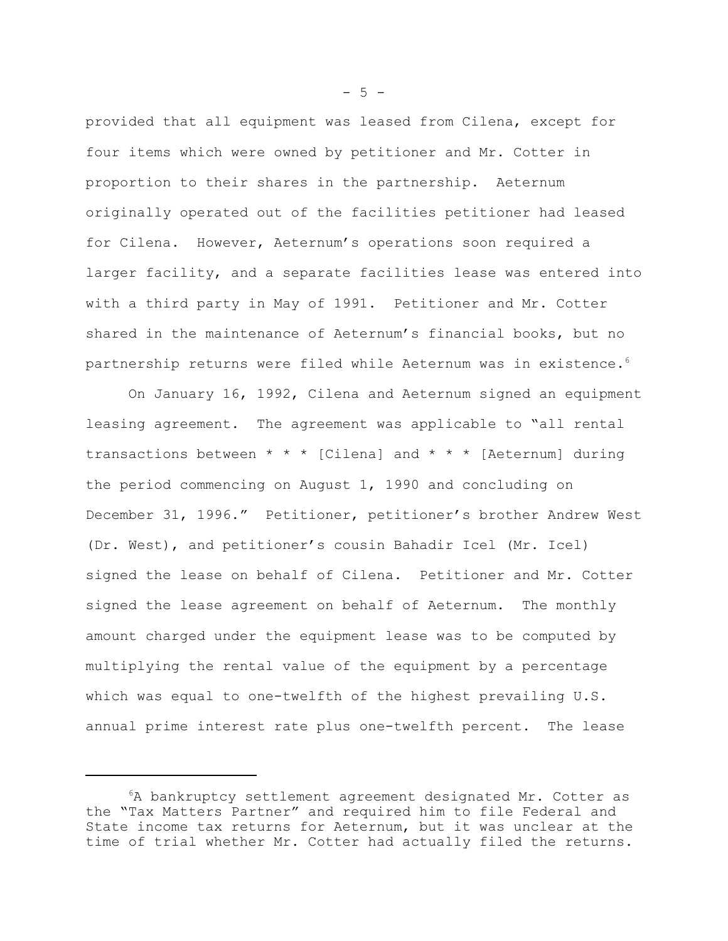provided that all equipment was leased from Cilena, except for four items which were owned by petitioner and Mr. Cotter in proportion to their shares in the partnership. Aeternum originally operated out of the facilities petitioner had leased for Cilena. However, Aeternum's operations soon required a larger facility, and a separate facilities lease was entered into with a third party in May of 1991. Petitioner and Mr. Cotter shared in the maintenance of Aeternum's financial books, but no partnership returns were filed while Aeternum was in existence.<sup>6</sup>

On January 16, 1992, Cilena and Aeternum signed an equipment leasing agreement. The agreement was applicable to "all rental transactions between \* \* \* [Cilena] and \* \* \* [Aeternum] during the period commencing on August 1, 1990 and concluding on December 31, 1996." Petitioner, petitioner's brother Andrew West (Dr. West), and petitioner's cousin Bahadir Icel (Mr. Icel) signed the lease on behalf of Cilena. Petitioner and Mr. Cotter signed the lease agreement on behalf of Aeternum. The monthly amount charged under the equipment lease was to be computed by multiplying the rental value of the equipment by a percentage which was equal to one-twelfth of the highest prevailing U.S. annual prime interest rate plus one-twelfth percent. The lease

 $-5 -$ 

<sup>6</sup>A bankruptcy settlement agreement designated Mr. Cotter as the "Tax Matters Partner" and required him to file Federal and State income tax returns for Aeternum, but it was unclear at the time of trial whether Mr. Cotter had actually filed the returns.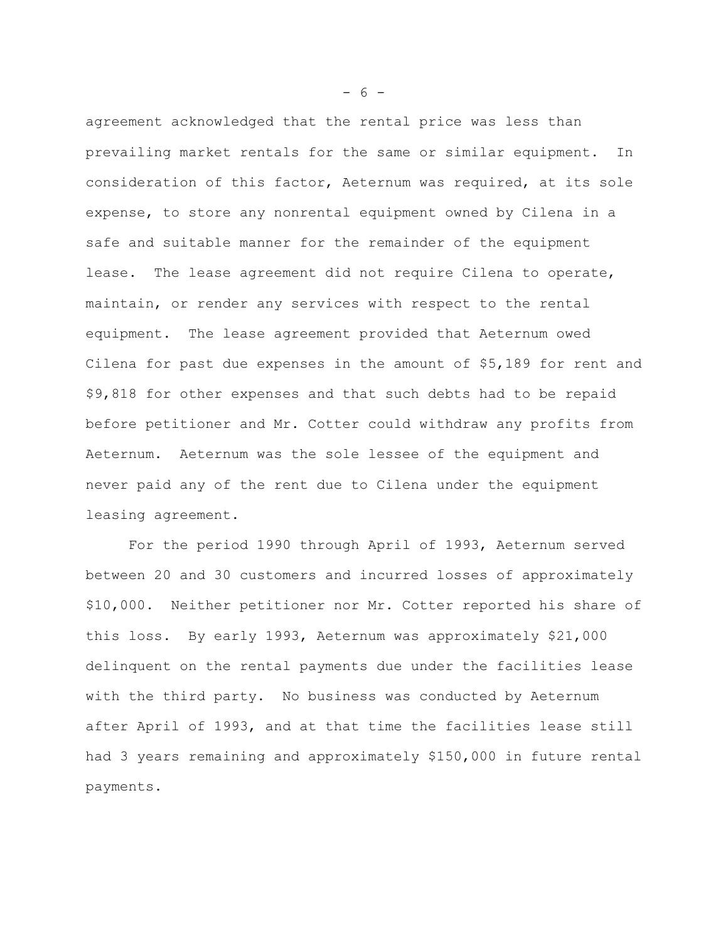agreement acknowledged that the rental price was less than prevailing market rentals for the same or similar equipment. In consideration of this factor, Aeternum was required, at its sole expense, to store any nonrental equipment owned by Cilena in a safe and suitable manner for the remainder of the equipment lease. The lease agreement did not require Cilena to operate, maintain, or render any services with respect to the rental equipment. The lease agreement provided that Aeternum owed Cilena for past due expenses in the amount of \$5,189 for rent and \$9,818 for other expenses and that such debts had to be repaid before petitioner and Mr. Cotter could withdraw any profits from Aeternum. Aeternum was the sole lessee of the equipment and never paid any of the rent due to Cilena under the equipment leasing agreement.

For the period 1990 through April of 1993, Aeternum served between 20 and 30 customers and incurred losses of approximately \$10,000. Neither petitioner nor Mr. Cotter reported his share of this loss. By early 1993, Aeternum was approximately \$21,000 delinquent on the rental payments due under the facilities lease with the third party. No business was conducted by Aeternum after April of 1993, and at that time the facilities lease still had 3 years remaining and approximately \$150,000 in future rental payments.

- 6 -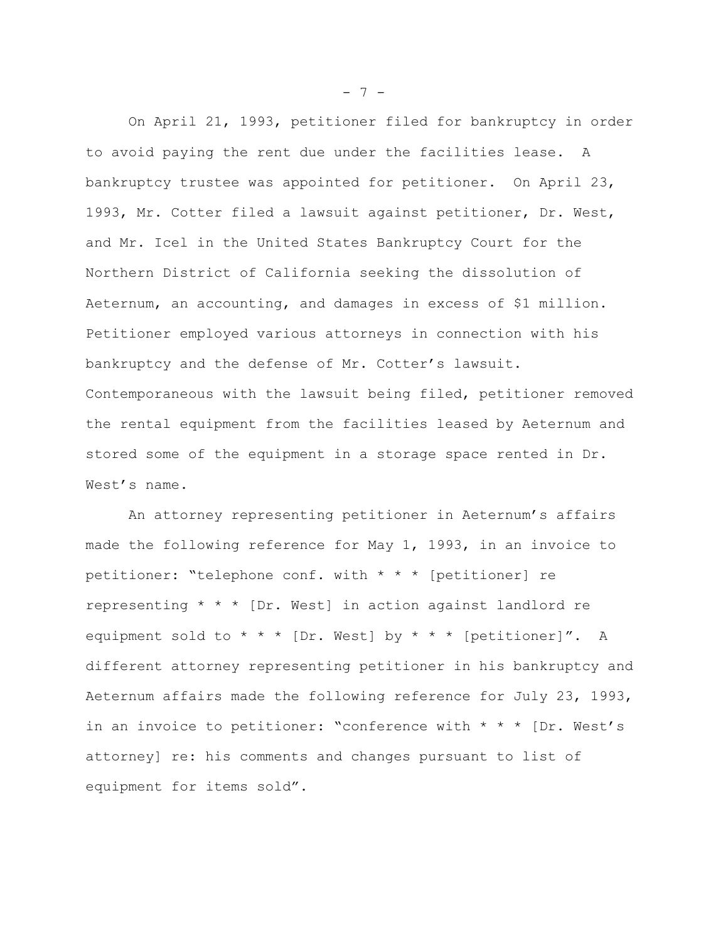On April 21, 1993, petitioner filed for bankruptcy in order to avoid paying the rent due under the facilities lease. A bankruptcy trustee was appointed for petitioner. On April 23, 1993, Mr. Cotter filed a lawsuit against petitioner, Dr. West, and Mr. Icel in the United States Bankruptcy Court for the Northern District of California seeking the dissolution of Aeternum, an accounting, and damages in excess of \$1 million. Petitioner employed various attorneys in connection with his bankruptcy and the defense of Mr. Cotter's lawsuit. Contemporaneous with the lawsuit being filed, petitioner removed the rental equipment from the facilities leased by Aeternum and stored some of the equipment in a storage space rented in Dr. West's name.

An attorney representing petitioner in Aeternum's affairs made the following reference for May 1, 1993, in an invoice to petitioner: "telephone conf. with \* \* \* [petitioner] re representing \* \* \* [Dr. West] in action against landlord re equipment sold to \* \* \* [Dr. West] by \* \* \* [petitioner]". A different attorney representing petitioner in his bankruptcy and Aeternum affairs made the following reference for July 23, 1993, in an invoice to petitioner: "conference with  $* * * [Dr. West's]$ attorney] re: his comments and changes pursuant to list of equipment for items sold".

 $- 7 -$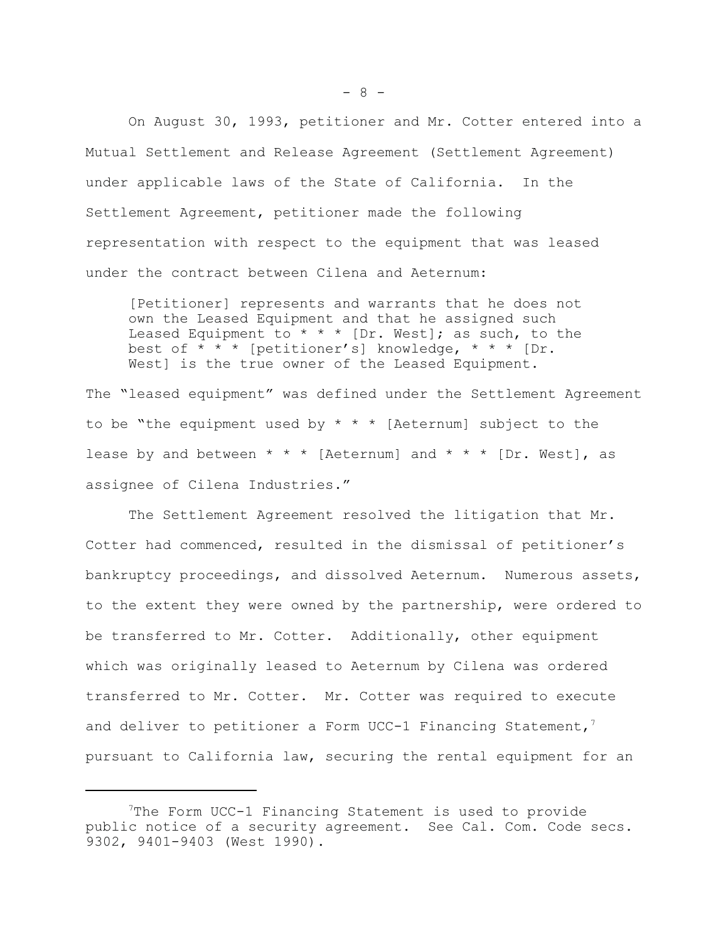On August 30, 1993, petitioner and Mr. Cotter entered into a Mutual Settlement and Release Agreement (Settlement Agreement) under applicable laws of the State of California. In the Settlement Agreement, petitioner made the following representation with respect to the equipment that was leased under the contract between Cilena and Aeternum:

[Petitioner] represents and warrants that he does not own the Leased Equipment and that he assigned such Leased Equipment to  $* * *$  [Dr. West]; as such, to the best of  $* * *$  [petitioner's] knowledge,  $* * *$  [Dr. West] is the true owner of the Leased Equipment.

The "leased equipment" was defined under the Settlement Agreement to be "the equipment used by  $* * *$  [Aeternum] subject to the lease by and between  $* * *$  [Aeternum] and  $* * *$  [Dr. West], as assignee of Cilena Industries."

The Settlement Agreement resolved the litigation that Mr. Cotter had commenced, resulted in the dismissal of petitioner's bankruptcy proceedings, and dissolved Aeternum. Numerous assets, to the extent they were owned by the partnership, were ordered to be transferred to Mr. Cotter. Additionally, other equipment which was originally leased to Aeternum by Cilena was ordered transferred to Mr. Cotter. Mr. Cotter was required to execute and deliver to petitioner a Form UCC-1 Financing Statement,<sup>7</sup> pursuant to California law, securing the rental equipment for an

 $- 8 -$ 

<sup>7</sup>The Form UCC-1 Financing Statement is used to provide public notice of a security agreement. See Cal. Com. Code secs. 9302, 9401-9403 (West 1990).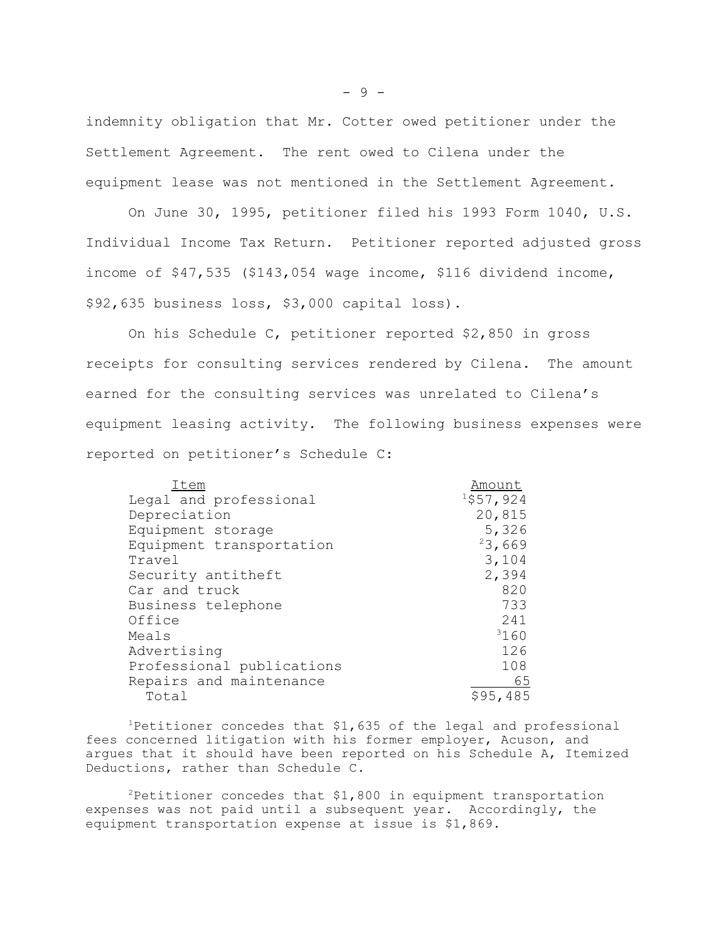indemnity obligation that Mr. Cotter owed petitioner under the Settlement Agreement. The rent owed to Cilena under the equipment lease was not mentioned in the Settlement Agreement.

On June 30, 1995, petitioner filed his 1993 Form 1040, U.S. Individual Income Tax Return. Petitioner reported adjusted gross income of \$47,535 (\$143,054 wage income, \$116 dividend income, \$92,635 business loss, \$3,000 capital loss).

On his Schedule C, petitioner reported \$2,850 in gross receipts for consulting services rendered by Cilena. The amount earned for the consulting services was unrelated to Cilena's equipment leasing activity. The following business expenses were reported on petitioner's Schedule C:

| Item                      | Amount       |
|---------------------------|--------------|
| Legal and professional    | $1$ \$57,924 |
| Depreciation              | 20,815       |
| Equipment storage         | 5,326        |
| Equipment transportation  | 23,669       |
| Travel                    | 3,104        |
| Security antitheft        | 2,394        |
| Car and truck             | 820          |
| Business telephone        | 733          |
| Office                    | 241          |
| Meals                     | 3160         |
| Advertising               | 126          |
| Professional publications | 108          |
| Repairs and maintenance   | 65           |
| Total                     | \$95,485     |

1Petitioner concedes that \$1,635 of the legal and professional fees concerned litigation with his former employer, Acuson, and argues that it should have been reported on his Schedule A, Itemized Deductions, rather than Schedule C.

 $2$ Petitioner concedes that \$1,800 in equipment transportation expenses was not paid until a subsequent year. Accordingly, the equipment transportation expense at issue is \$1,869.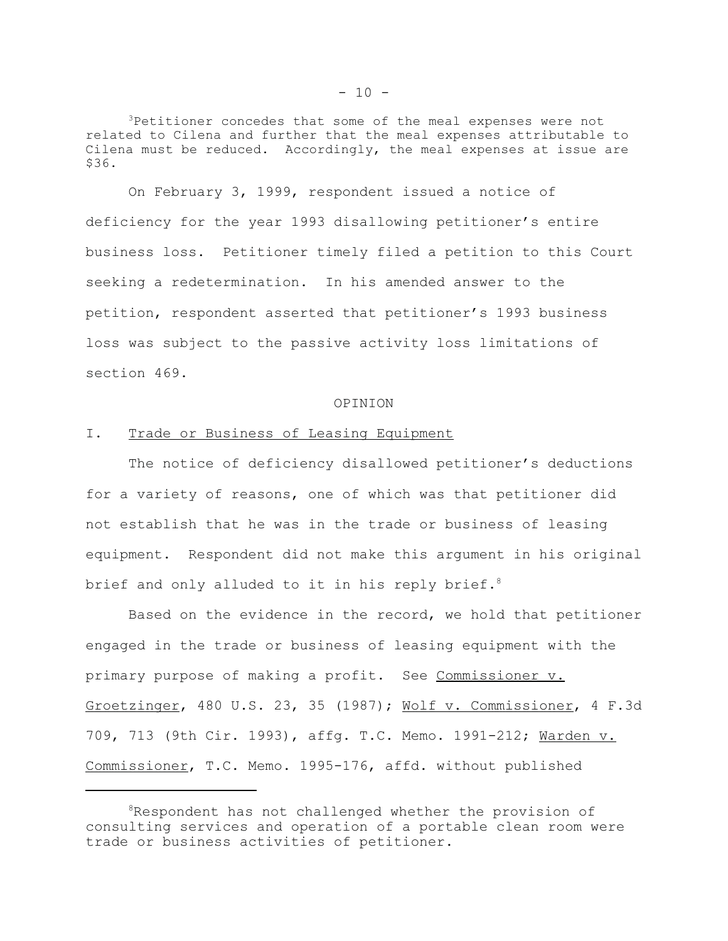3Petitioner concedes that some of the meal expenses were not related to Cilena and further that the meal expenses attributable to Cilena must be reduced. Accordingly, the meal expenses at issue are \$36.

On February 3, 1999, respondent issued a notice of deficiency for the year 1993 disallowing petitioner's entire business loss. Petitioner timely filed a petition to this Court seeking a redetermination. In his amended answer to the petition, respondent asserted that petitioner's 1993 business loss was subject to the passive activity loss limitations of section 469.

#### OPINION

## I. Trade or Business of Leasing Equipment

The notice of deficiency disallowed petitioner's deductions for a variety of reasons, one of which was that petitioner did not establish that he was in the trade or business of leasing equipment. Respondent did not make this argument in his original brief and only alluded to it in his reply brief.<sup>8</sup>

Based on the evidence in the record, we hold that petitioner engaged in the trade or business of leasing equipment with the primary purpose of making a profit. See Commissioner v. Groetzinger, 480 U.S. 23, 35 (1987); Wolf v. Commissioner, 4 F.3d 709, 713 (9th Cir. 1993), affg. T.C. Memo. 1991-212; Warden v. Commissioner, T.C. Memo. 1995-176, affd. without published

<sup>&</sup>lt;sup>8</sup>Respondent has not challenged whether the provision of consulting services and operation of a portable clean room were trade or business activities of petitioner.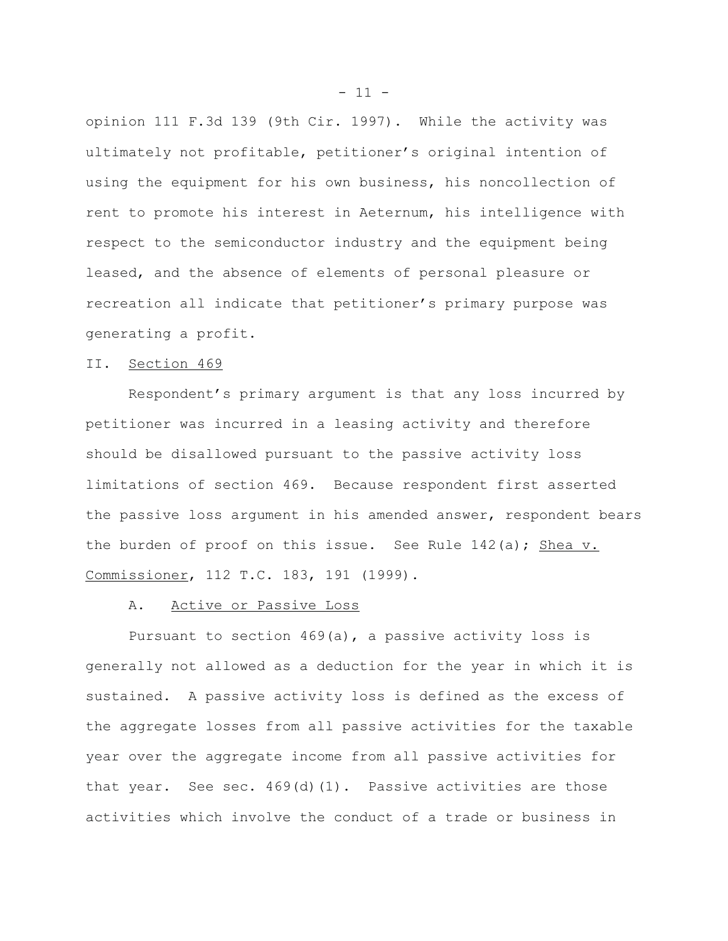opinion 111 F.3d 139 (9th Cir. 1997). While the activity was ultimately not profitable, petitioner's original intention of using the equipment for his own business, his noncollection of rent to promote his interest in Aeternum, his intelligence with respect to the semiconductor industry and the equipment being leased, and the absence of elements of personal pleasure or recreation all indicate that petitioner's primary purpose was generating a profit.

## II. Section 469

Respondent's primary argument is that any loss incurred by petitioner was incurred in a leasing activity and therefore should be disallowed pursuant to the passive activity loss limitations of section 469. Because respondent first asserted the passive loss argument in his amended answer, respondent bears the burden of proof on this issue. See Rule  $142(a)$ ; Shea v. Commissioner, 112 T.C. 183, 191 (1999).

### A. Active or Passive Loss

Pursuant to section 469(a), a passive activity loss is generally not allowed as a deduction for the year in which it is sustained. A passive activity loss is defined as the excess of the aggregate losses from all passive activities for the taxable year over the aggregate income from all passive activities for that year. See sec. 469(d)(1). Passive activities are those activities which involve the conduct of a trade or business in

 $- 11 -$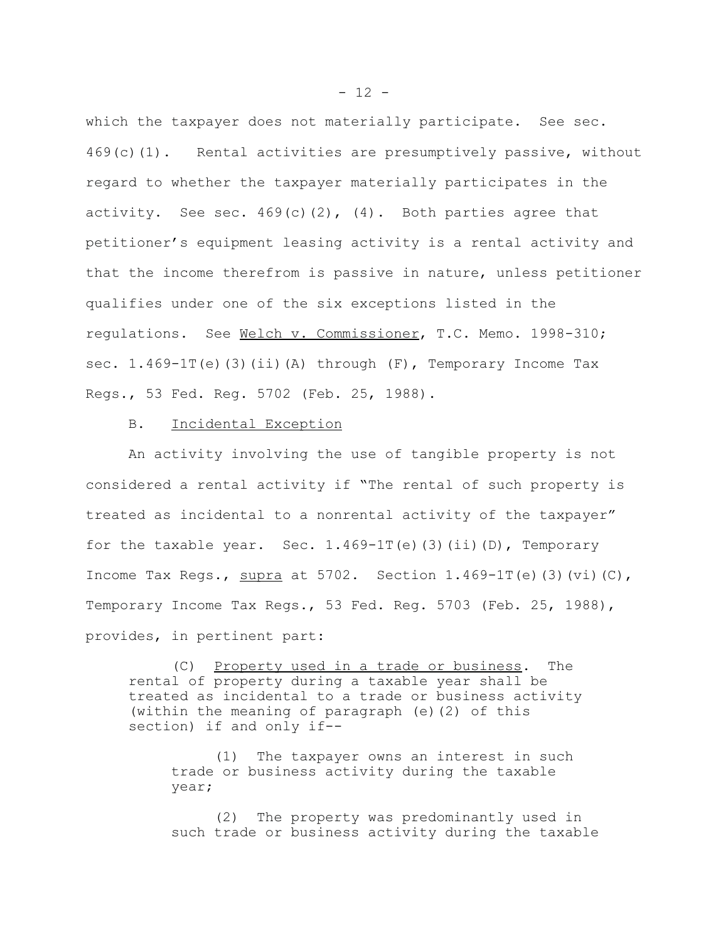which the taxpayer does not materially participate. See sec. 469(c)(1). Rental activities are presumptively passive, without regard to whether the taxpayer materially participates in the activity. See sec.  $469(c)(2)$ , (4). Both parties agree that petitioner's equipment leasing activity is a rental activity and that the income therefrom is passive in nature, unless petitioner qualifies under one of the six exceptions listed in the regulations. See Welch v. Commissioner, T.C. Memo. 1998-310; sec.  $1.469-1T(e)$  (3)(ii)(A) through (F), Temporary Income Tax Regs., 53 Fed. Reg. 5702 (Feb. 25, 1988).

# B. Incidental Exception

An activity involving the use of tangible property is not considered a rental activity if "The rental of such property is treated as incidental to a nonrental activity of the taxpayer" for the taxable year. Sec.  $1.469-1T(e)$  (3)(ii)(D), Temporary Income Tax Regs., supra at  $5702$ . Section  $1.469-1T(e)$  (3)(vi)(C), Temporary Income Tax Regs., 53 Fed. Reg. 5703 (Feb. 25, 1988), provides, in pertinent part:

(C) Property used in a trade or business. The rental of property during a taxable year shall be treated as incidental to a trade or business activity (within the meaning of paragraph (e)(2) of this section) if and only if--

(1) The taxpayer owns an interest in such trade or business activity during the taxable year;

(2) The property was predominantly used in such trade or business activity during the taxable

 $- 12 -$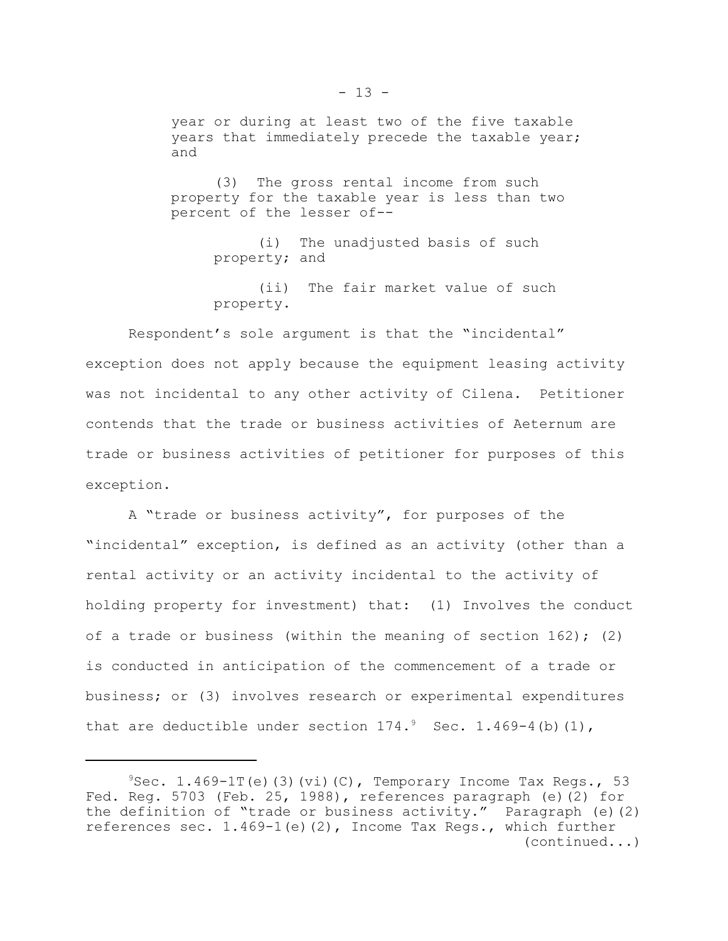year or during at least two of the five taxable years that immediately precede the taxable year; and

(3) The gross rental income from such property for the taxable year is less than two percent of the lesser of--

> (i) The unadjusted basis of such property; and

(ii) The fair market value of such property.

Respondent's sole argument is that the "incidental" exception does not apply because the equipment leasing activity was not incidental to any other activity of Cilena. Petitioner contends that the trade or business activities of Aeternum are trade or business activities of petitioner for purposes of this exception.

A "trade or business activity", for purposes of the "incidental" exception, is defined as an activity (other than a rental activity or an activity incidental to the activity of holding property for investment) that: (1) Involves the conduct of a trade or business (within the meaning of section  $162$ ); (2) is conducted in anticipation of the commencement of a trade or business; or (3) involves research or experimental expenditures that are deductible under section  $174.^9$  Sec. 1.469-4(b)(1),

 $9$ Sec. 1.469-1T(e)(3)(vi)(C), Temporary Income Tax Regs., 53 Fed. Reg. 5703 (Feb. 25, 1988), references paragraph (e)(2) for the definition of "trade or business activity." Paragraph (e)(2) references sec. 1.469-1(e)(2), Income Tax Regs., which further (continued...)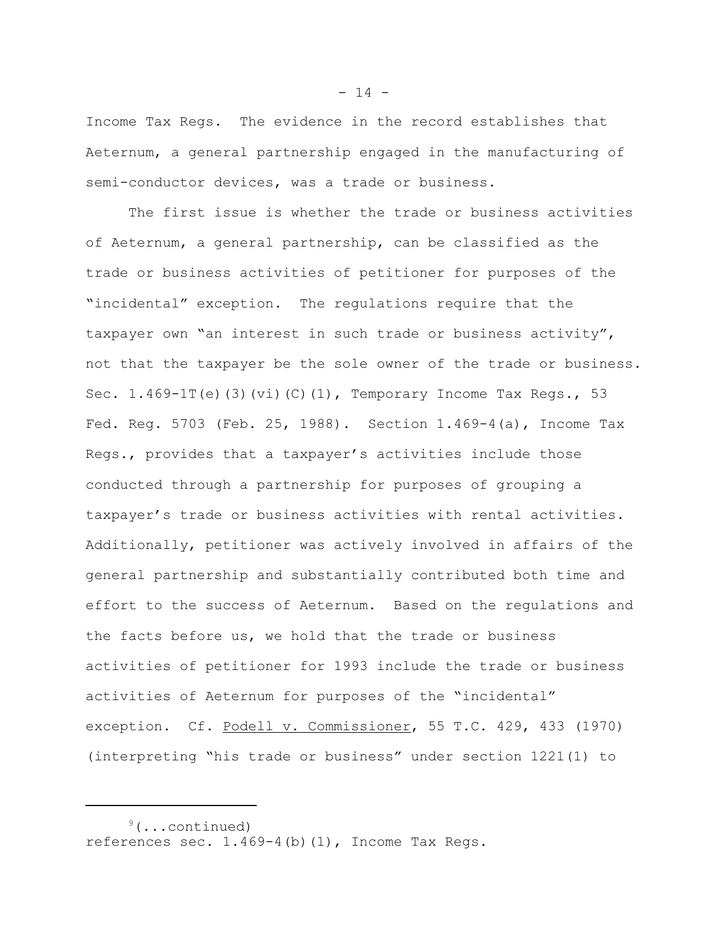Income Tax Regs. The evidence in the record establishes that Aeternum, a general partnership engaged in the manufacturing of semi-conductor devices, was a trade or business.

The first issue is whether the trade or business activities of Aeternum, a general partnership, can be classified as the trade or business activities of petitioner for purposes of the "incidental" exception. The regulations require that the taxpayer own "an interest in such trade or business activity", not that the taxpayer be the sole owner of the trade or business. Sec.  $1.469-1T(e)$  (3)(vi)(C)(1), Temporary Income Tax Regs., 53 Fed. Reg. 5703 (Feb. 25, 1988). Section 1.469-4(a), Income Tax Regs., provides that a taxpayer's activities include those conducted through a partnership for purposes of grouping a taxpayer's trade or business activities with rental activities. Additionally, petitioner was actively involved in affairs of the general partnership and substantially contributed both time and effort to the success of Aeternum. Based on the regulations and the facts before us, we hold that the trade or business activities of petitioner for 1993 include the trade or business activities of Aeternum for purposes of the "incidental" exception. Cf. Podell v. Commissioner, 55 T.C. 429, 433 (1970) (interpreting "his trade or business" under section 1221(1) to

 $- 14 -$ 

 $9($ ...continued) references sec. 1.469-4(b)(1), Income Tax Regs.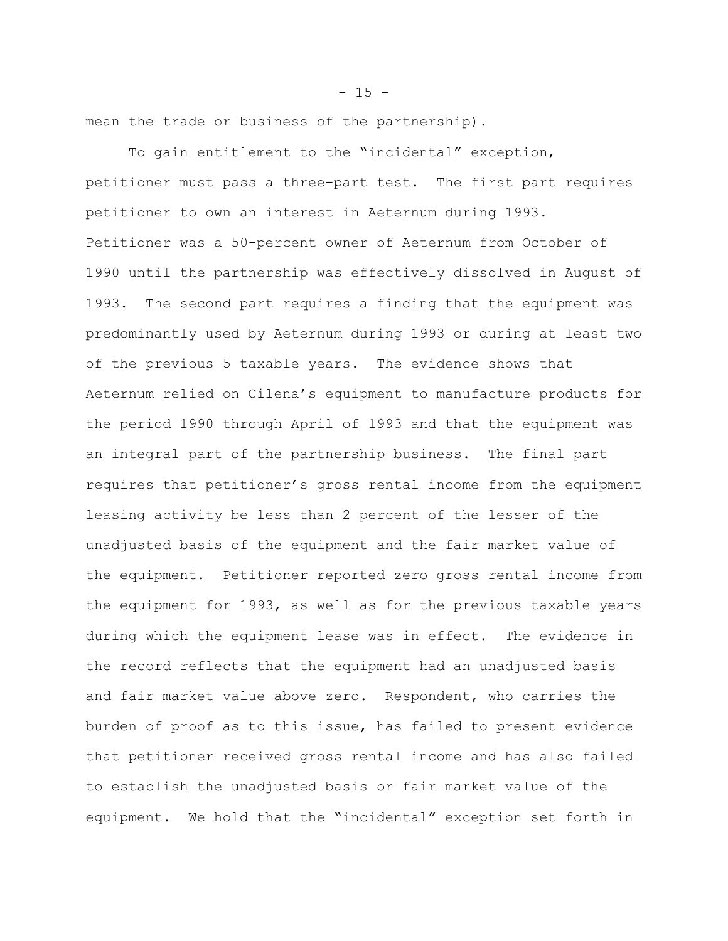mean the trade or business of the partnership).

To gain entitlement to the "incidental" exception, petitioner must pass a three-part test. The first part requires petitioner to own an interest in Aeternum during 1993. Petitioner was a 50-percent owner of Aeternum from October of 1990 until the partnership was effectively dissolved in August of 1993. The second part requires a finding that the equipment was predominantly used by Aeternum during 1993 or during at least two of the previous 5 taxable years. The evidence shows that Aeternum relied on Cilena's equipment to manufacture products for the period 1990 through April of 1993 and that the equipment was an integral part of the partnership business. The final part requires that petitioner's gross rental income from the equipment leasing activity be less than 2 percent of the lesser of the unadjusted basis of the equipment and the fair market value of the equipment. Petitioner reported zero gross rental income from the equipment for 1993, as well as for the previous taxable years during which the equipment lease was in effect. The evidence in the record reflects that the equipment had an unadjusted basis and fair market value above zero. Respondent, who carries the burden of proof as to this issue, has failed to present evidence that petitioner received gross rental income and has also failed to establish the unadjusted basis or fair market value of the equipment. We hold that the "incidental" exception set forth in

#### $- 15 -$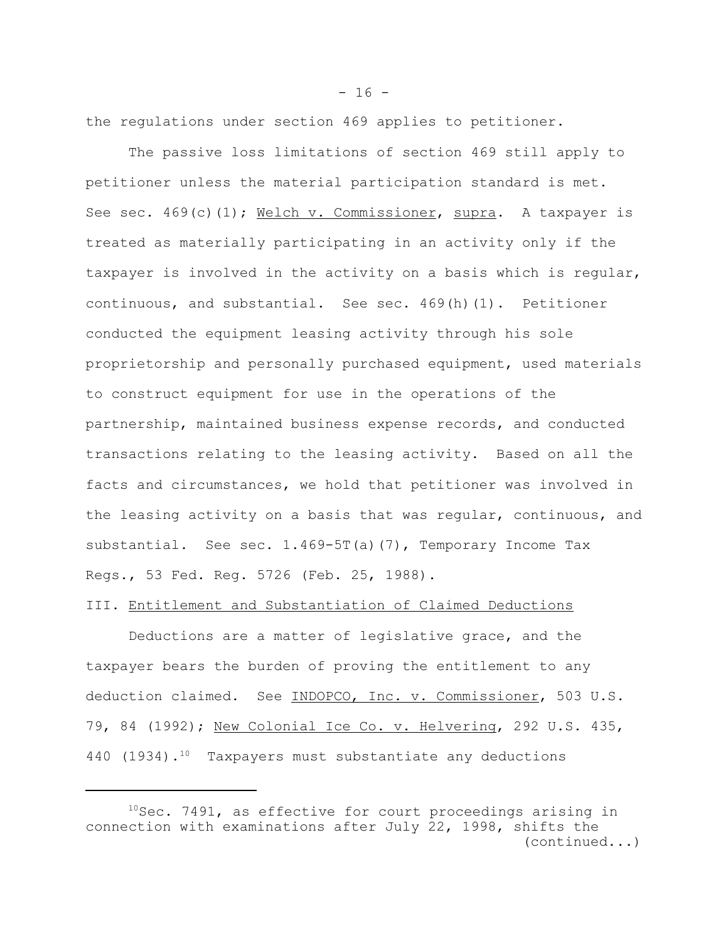the regulations under section 469 applies to petitioner.

The passive loss limitations of section 469 still apply to petitioner unless the material participation standard is met. See sec. 469(c)(1); Welch v. Commissioner, supra. A taxpayer is treated as materially participating in an activity only if the taxpayer is involved in the activity on a basis which is regular, continuous, and substantial. See sec. 469(h)(1). Petitioner conducted the equipment leasing activity through his sole proprietorship and personally purchased equipment, used materials to construct equipment for use in the operations of the partnership, maintained business expense records, and conducted transactions relating to the leasing activity. Based on all the facts and circumstances, we hold that petitioner was involved in the leasing activity on a basis that was regular, continuous, and substantial. See sec. 1.469-5T(a)(7), Temporary Income Tax Regs., 53 Fed. Reg. 5726 (Feb. 25, 1988).

## III. Entitlement and Substantiation of Claimed Deductions

Deductions are a matter of legislative grace, and the taxpayer bears the burden of proving the entitlement to any deduction claimed. See INDOPCO, Inc. v. Commissioner, 503 U.S. 79, 84 (1992); New Colonial Ice Co. v. Helvering, 292 U.S. 435, 440 (1934).<sup>10</sup> Taxpayers must substantiate any deductions

 $- 16 -$ 

 $10$ Sec. 7491, as effective for court proceedings arising in connection with examinations after July 22, 1998, shifts the (continued...)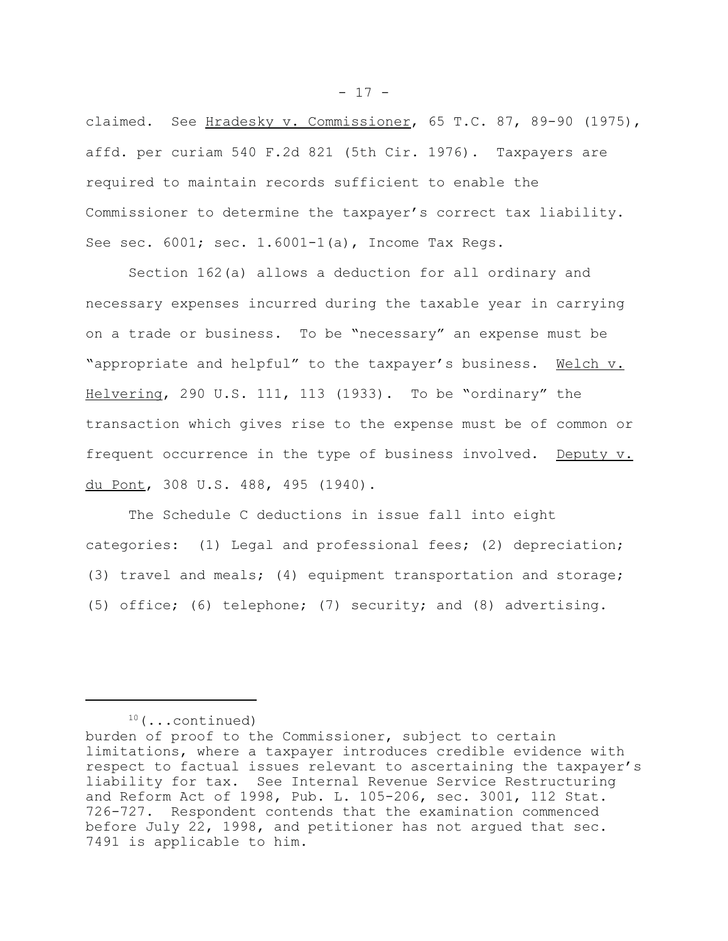claimed. See Hradesky v. Commissioner, 65 T.C. 87, 89-90 (1975), affd. per curiam 540 F.2d 821 (5th Cir. 1976). Taxpayers are required to maintain records sufficient to enable the Commissioner to determine the taxpayer's correct tax liability. See sec. 6001; sec. 1.6001-1(a), Income Tax Regs.

Section 162(a) allows a deduction for all ordinary and necessary expenses incurred during the taxable year in carrying on a trade or business. To be "necessary" an expense must be "appropriate and helpful" to the taxpayer's business. Welch v. Helvering, 290 U.S. 111, 113 (1933). To be "ordinary" the transaction which gives rise to the expense must be of common or frequent occurrence in the type of business involved. Deputy v. du Pont, 308 U.S. 488, 495 (1940).

The Schedule C deductions in issue fall into eight categories: (1) Legal and professional fees; (2) depreciation; (3) travel and meals; (4) equipment transportation and storage; (5) office; (6) telephone; (7) security; and (8) advertising.

 $10$  (...continued)

- 17 -

burden of proof to the Commissioner, subject to certain limitations, where a taxpayer introduces credible evidence with respect to factual issues relevant to ascertaining the taxpayer's liability for tax. See Internal Revenue Service Restructuring and Reform Act of 1998, Pub. L. 105-206, sec. 3001, 112 Stat. 726-727. Respondent contends that the examination commenced before July 22, 1998, and petitioner has not argued that sec. 7491 is applicable to him.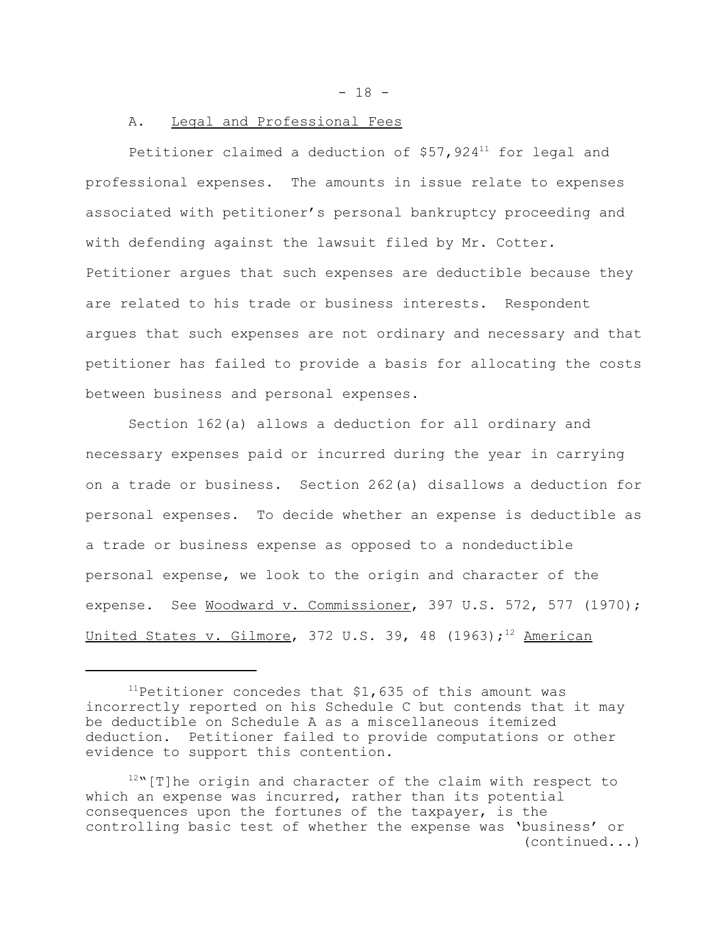$- 18 -$ 

# A. Legal and Professional Fees

Petitioner claimed a deduction of  $$57,924$ <sup>11</sup> for legal and professional expenses. The amounts in issue relate to expenses associated with petitioner's personal bankruptcy proceeding and with defending against the lawsuit filed by Mr. Cotter. Petitioner argues that such expenses are deductible because they are related to his trade or business interests. Respondent argues that such expenses are not ordinary and necessary and that petitioner has failed to provide a basis for allocating the costs between business and personal expenses.

Section 162(a) allows a deduction for all ordinary and necessary expenses paid or incurred during the year in carrying on a trade or business. Section 262(a) disallows a deduction for personal expenses. To decide whether an expense is deductible as a trade or business expense as opposed to a nondeductible personal expense, we look to the origin and character of the expense. See Woodward v. Commissioner, 397 U.S. 572, 577 (1970); United States v. Gilmore, 372 U.S. 39, 48 (1963);<sup>12</sup> American

<sup>&</sup>lt;sup>11</sup>Petitioner concedes that  $$1,635$  of this amount was incorrectly reported on his Schedule C but contends that it may be deductible on Schedule A as a miscellaneous itemized deduction. Petitioner failed to provide computations or other evidence to support this contention.

 $12$ "[T]he origin and character of the claim with respect to which an expense was incurred, rather than its potential consequences upon the fortunes of the taxpayer, is the controlling basic test of whether the expense was 'business' or (continued...)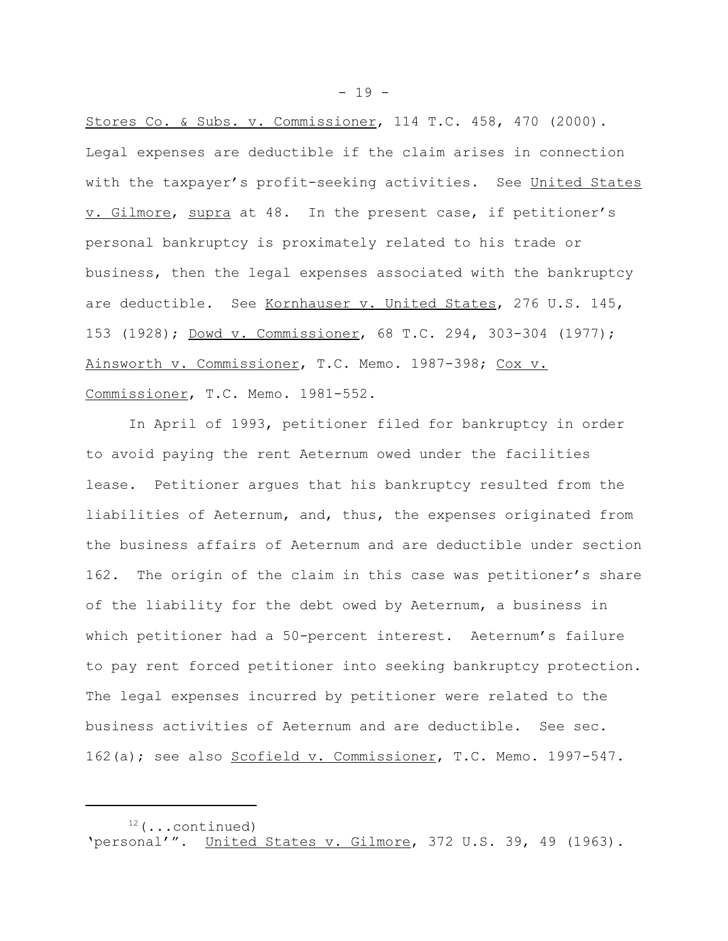Stores Co. & Subs. v. Commissioner, 114 T.C. 458, 470 (2000). Legal expenses are deductible if the claim arises in connection with the taxpayer's profit-seeking activities. See United States v. Gilmore, supra at 48. In the present case, if petitioner's personal bankruptcy is proximately related to his trade or business, then the legal expenses associated with the bankruptcy are deductible. See Kornhauser v. United States, 276 U.S. 145, 153 (1928); Dowd v. Commissioner, 68 T.C. 294, 303-304 (1977); Ainsworth v. Commissioner, T.C. Memo. 1987-398; Cox v. Commissioner, T.C. Memo. 1981-552.

In April of 1993, petitioner filed for bankruptcy in order to avoid paying the rent Aeternum owed under the facilities lease. Petitioner argues that his bankruptcy resulted from the liabilities of Aeternum, and, thus, the expenses originated from the business affairs of Aeternum and are deductible under section 162. The origin of the claim in this case was petitioner's share of the liability for the debt owed by Aeternum, a business in which petitioner had a 50-percent interest. Aeternum's failure to pay rent forced petitioner into seeking bankruptcy protection. The legal expenses incurred by petitioner were related to the business activities of Aeternum and are deductible. See sec. 162(a); see also Scofield v. Commissioner, T.C. Memo. 1997-547.

 $- 19 -$ 

 $12$  (...continued) 'personal'". United States v. Gilmore, 372 U.S. 39, 49 (1963).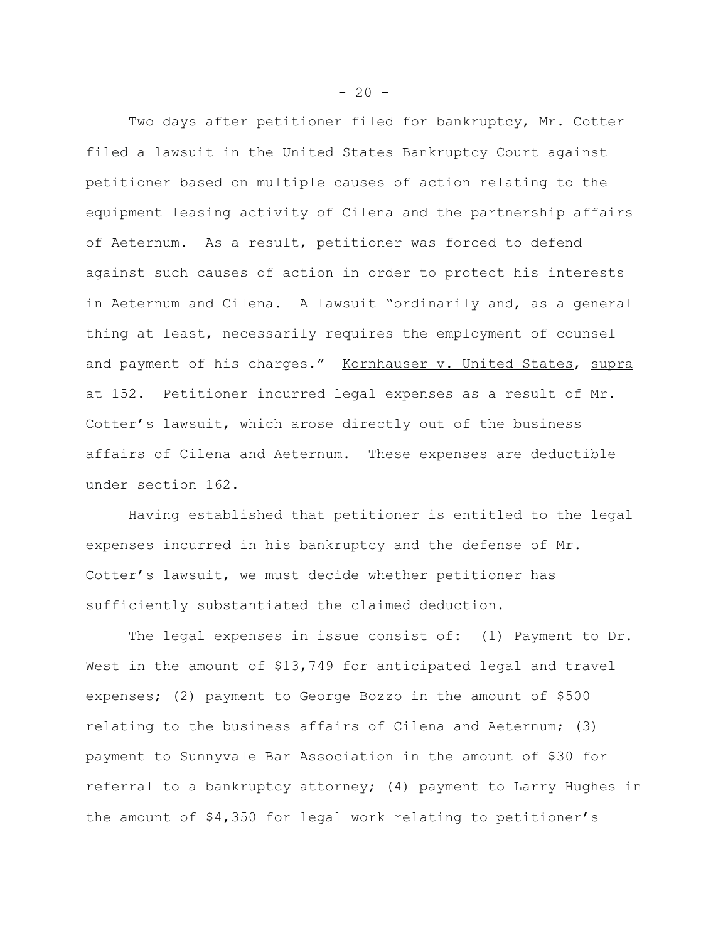Two days after petitioner filed for bankruptcy, Mr. Cotter filed a lawsuit in the United States Bankruptcy Court against petitioner based on multiple causes of action relating to the equipment leasing activity of Cilena and the partnership affairs of Aeternum. As a result, petitioner was forced to defend against such causes of action in order to protect his interests in Aeternum and Cilena. A lawsuit "ordinarily and, as a general thing at least, necessarily requires the employment of counsel and payment of his charges." Kornhauser v. United States, supra at 152. Petitioner incurred legal expenses as a result of Mr. Cotter's lawsuit, which arose directly out of the business affairs of Cilena and Aeternum. These expenses are deductible under section 162.

Having established that petitioner is entitled to the legal expenses incurred in his bankruptcy and the defense of Mr. Cotter's lawsuit, we must decide whether petitioner has sufficiently substantiated the claimed deduction.

The legal expenses in issue consist of: (1) Payment to Dr. West in the amount of \$13,749 for anticipated legal and travel expenses; (2) payment to George Bozzo in the amount of \$500 relating to the business affairs of Cilena and Aeternum; (3) payment to Sunnyvale Bar Association in the amount of \$30 for referral to a bankruptcy attorney; (4) payment to Larry Hughes in the amount of \$4,350 for legal work relating to petitioner's

 $-20 -$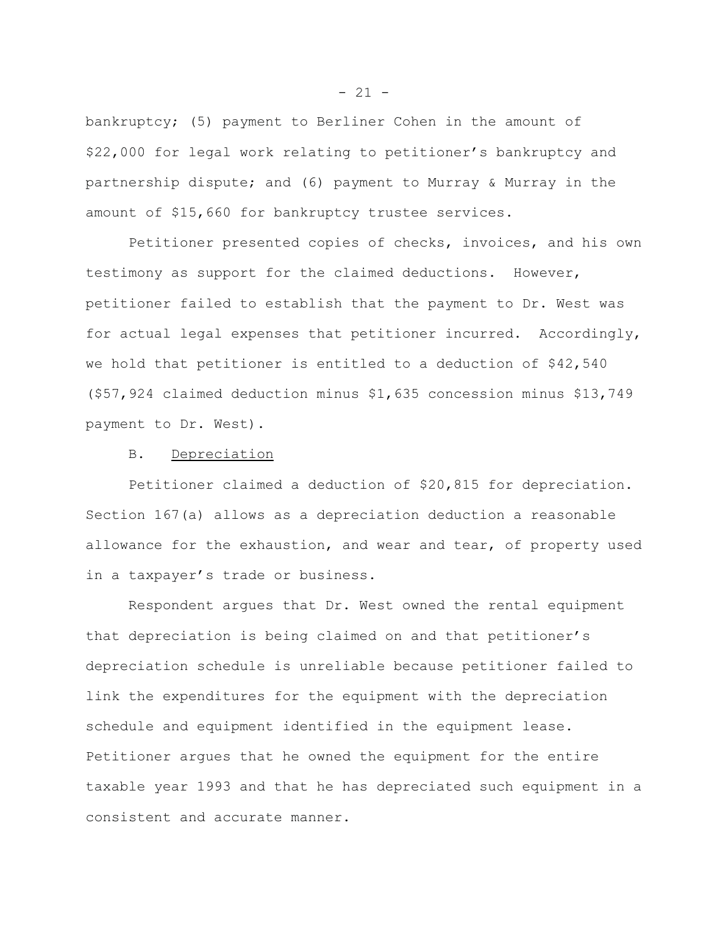bankruptcy; (5) payment to Berliner Cohen in the amount of \$22,000 for legal work relating to petitioner's bankruptcy and partnership dispute; and (6) payment to Murray & Murray in the amount of \$15,660 for bankruptcy trustee services.

Petitioner presented copies of checks, invoices, and his own testimony as support for the claimed deductions. However, petitioner failed to establish that the payment to Dr. West was for actual legal expenses that petitioner incurred. Accordingly, we hold that petitioner is entitled to a deduction of \$42,540 (\$57,924 claimed deduction minus \$1,635 concession minus \$13,749 payment to Dr. West).

#### B. Depreciation

Petitioner claimed a deduction of \$20,815 for depreciation. Section 167(a) allows as a depreciation deduction a reasonable allowance for the exhaustion, and wear and tear, of property used in a taxpayer's trade or business.

Respondent argues that Dr. West owned the rental equipment that depreciation is being claimed on and that petitioner's depreciation schedule is unreliable because petitioner failed to link the expenditures for the equipment with the depreciation schedule and equipment identified in the equipment lease. Petitioner argues that he owned the equipment for the entire taxable year 1993 and that he has depreciated such equipment in a consistent and accurate manner.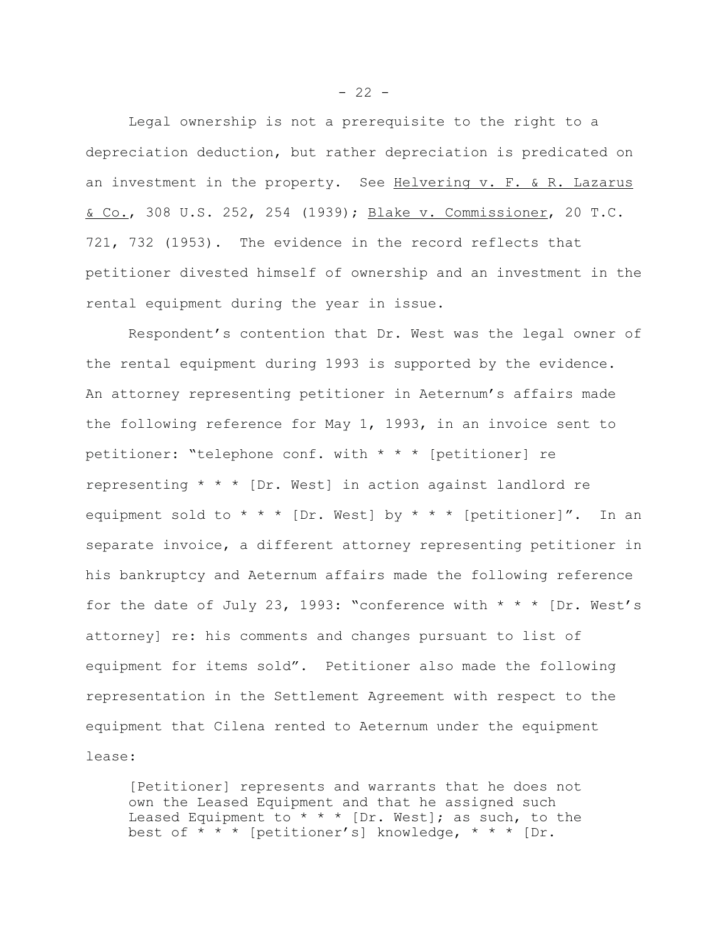Legal ownership is not a prerequisite to the right to a depreciation deduction, but rather depreciation is predicated on an investment in the property. See Helvering v. F. & R. Lazarus & Co., 308 U.S. 252, 254 (1939); Blake v. Commissioner, 20 T.C. 721, 732 (1953). The evidence in the record reflects that petitioner divested himself of ownership and an investment in the rental equipment during the year in issue.

Respondent's contention that Dr. West was the legal owner of the rental equipment during 1993 is supported by the evidence. An attorney representing petitioner in Aeternum's affairs made the following reference for May 1, 1993, in an invoice sent to petitioner: "telephone conf. with \* \* \* [petitioner] re representing  $* * * [Dr. West]$  in action against landlord re equipment sold to \* \* \* [Dr. West] by \* \* \* [petitioner]". In an separate invoice, a different attorney representing petitioner in his bankruptcy and Aeternum affairs made the following reference for the date of July 23, 1993: "conference with  $* * * [Dr. West's]$ attorney] re: his comments and changes pursuant to list of equipment for items sold". Petitioner also made the following representation in the Settlement Agreement with respect to the equipment that Cilena rented to Aeternum under the equipment lease:

[Petitioner] represents and warrants that he does not own the Leased Equipment and that he assigned such Leased Equipment to  $* * *$  [Dr. West]; as such, to the best of  $* * *$  [petitioner's] knowledge,  $* * *$  [Dr.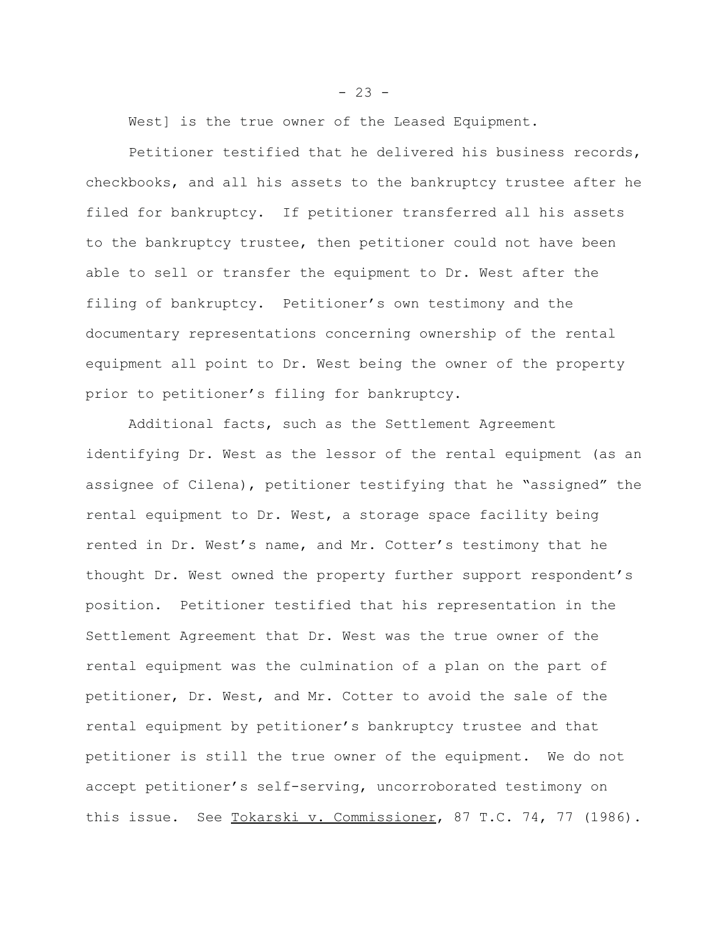West] is the true owner of the Leased Equipment.

Petitioner testified that he delivered his business records, checkbooks, and all his assets to the bankruptcy trustee after he filed for bankruptcy. If petitioner transferred all his assets to the bankruptcy trustee, then petitioner could not have been able to sell or transfer the equipment to Dr. West after the filing of bankruptcy. Petitioner's own testimony and the documentary representations concerning ownership of the rental equipment all point to Dr. West being the owner of the property prior to petitioner's filing for bankruptcy.

Additional facts, such as the Settlement Agreement identifying Dr. West as the lessor of the rental equipment (as an assignee of Cilena), petitioner testifying that he "assigned" the rental equipment to Dr. West, a storage space facility being rented in Dr. West's name, and Mr. Cotter's testimony that he thought Dr. West owned the property further support respondent's position. Petitioner testified that his representation in the Settlement Agreement that Dr. West was the true owner of the rental equipment was the culmination of a plan on the part of petitioner, Dr. West, and Mr. Cotter to avoid the sale of the rental equipment by petitioner's bankruptcy trustee and that petitioner is still the true owner of the equipment. We do not accept petitioner's self-serving, uncorroborated testimony on this issue. See Tokarski v. Commissioner, 87 T.C. 74, 77 (1986).

 $- 23 -$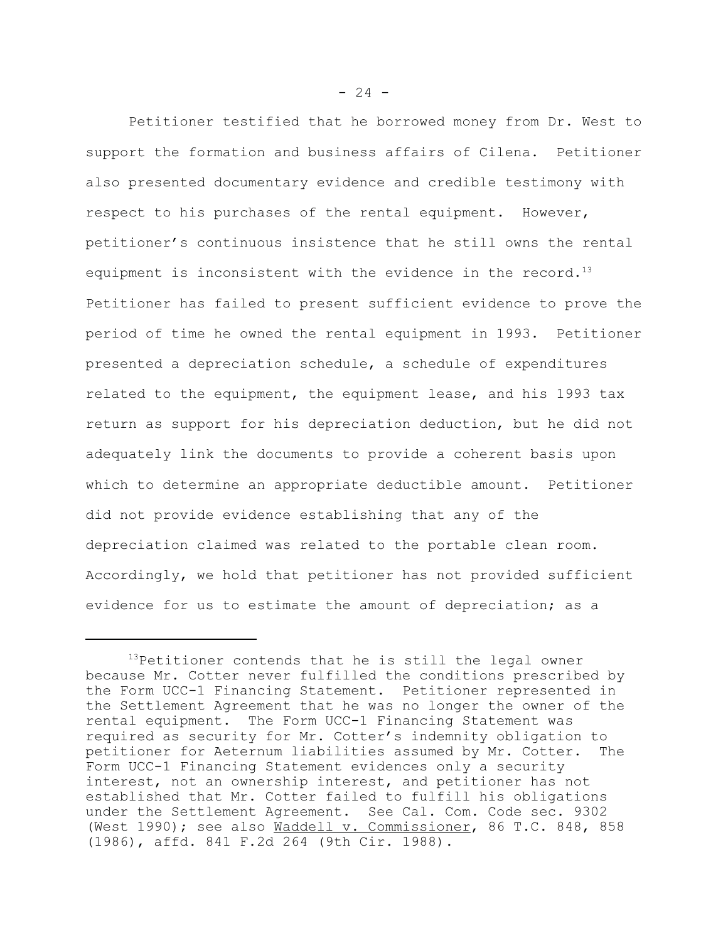Petitioner testified that he borrowed money from Dr. West to support the formation and business affairs of Cilena. Petitioner also presented documentary evidence and credible testimony with respect to his purchases of the rental equipment. However, petitioner's continuous insistence that he still owns the rental equipment is inconsistent with the evidence in the record.<sup>13</sup> Petitioner has failed to present sufficient evidence to prove the period of time he owned the rental equipment in 1993. Petitioner presented a depreciation schedule, a schedule of expenditures related to the equipment, the equipment lease, and his 1993 tax return as support for his depreciation deduction, but he did not adequately link the documents to provide a coherent basis upon which to determine an appropriate deductible amount. Petitioner did not provide evidence establishing that any of the depreciation claimed was related to the portable clean room. Accordingly, we hold that petitioner has not provided sufficient evidence for us to estimate the amount of depreciation; as a

<sup>&</sup>lt;sup>13</sup>Petitioner contends that he is still the legal owner because Mr. Cotter never fulfilled the conditions prescribed by the Form UCC-1 Financing Statement. Petitioner represented in the Settlement Agreement that he was no longer the owner of the rental equipment. The Form UCC-1 Financing Statement was required as security for Mr. Cotter's indemnity obligation to petitioner for Aeternum liabilities assumed by Mr. Cotter. The Form UCC-1 Financing Statement evidences only a security interest, not an ownership interest, and petitioner has not established that Mr. Cotter failed to fulfill his obligations under the Settlement Agreement. See Cal. Com. Code sec. 9302 (West 1990); see also Waddell v. Commissioner, 86 T.C. 848, 858 (1986), affd. 841 F.2d 264 (9th Cir. 1988).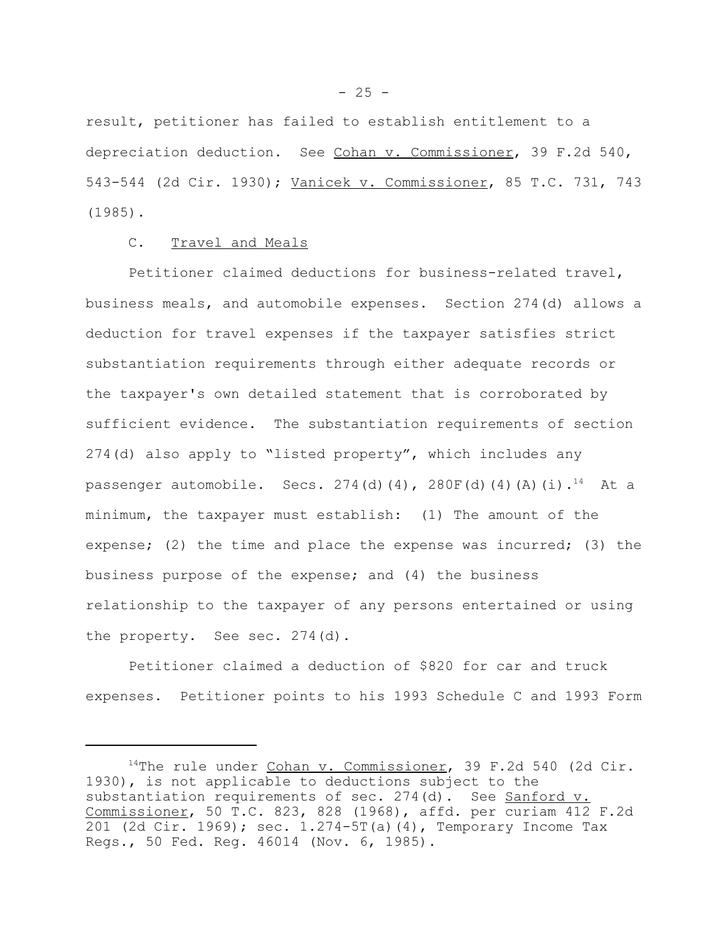result, petitioner has failed to establish entitlement to a depreciation deduction. See Cohan v. Commissioner, 39 F.2d 540, 543-544 (2d Cir. 1930); Vanicek v. Commissioner, 85 T.C. 731, 743 (1985).

# C. Travel and Meals

Petitioner claimed deductions for business-related travel, business meals, and automobile expenses. Section 274(d) allows a deduction for travel expenses if the taxpayer satisfies strict substantiation requirements through either adequate records or the taxpayer's own detailed statement that is corroborated by sufficient evidence. The substantiation requirements of section 274(d) also apply to "listed property", which includes any passenger automobile. Secs.  $274(d)(4)$ ,  $280F(d)(4)(A)(i).^{14}$  At a minimum, the taxpayer must establish: (1) The amount of the expense; (2) the time and place the expense was incurred; (3) the business purpose of the expense; and (4) the business relationship to the taxpayer of any persons entertained or using the property. See sec. 274(d).

Petitioner claimed a deduction of \$820 for car and truck expenses. Petitioner points to his 1993 Schedule C and 1993 Form

<sup>&</sup>lt;sup>14</sup>The rule under Cohan v. Commissioner, 39 F.2d 540 (2d Cir. 1930), is not applicable to deductions subject to the substantiation requirements of sec. 274(d). See Sanford v. Commissioner, 50 T.C. 823, 828 (1968), affd. per curiam 412 F.2d 201 (2d Cir. 1969); sec. 1.274-5T(a)(4), Temporary Income Tax Regs., 50 Fed. Reg. 46014 (Nov. 6, 1985).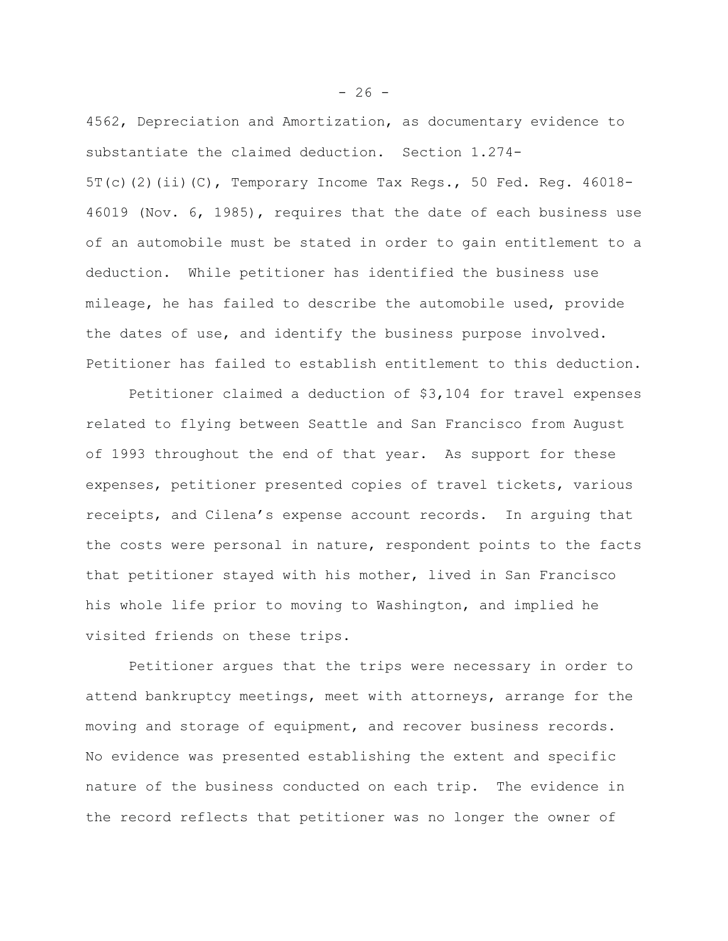4562, Depreciation and Amortization, as documentary evidence to substantiate the claimed deduction. Section 1.274- 5T(c)(2)(ii)(C), Temporary Income Tax Regs., 50 Fed. Reg. 46018- 46019 (Nov. 6, 1985), requires that the date of each business use of an automobile must be stated in order to gain entitlement to a deduction. While petitioner has identified the business use mileage, he has failed to describe the automobile used, provide the dates of use, and identify the business purpose involved. Petitioner has failed to establish entitlement to this deduction.

Petitioner claimed a deduction of \$3,104 for travel expenses related to flying between Seattle and San Francisco from August of 1993 throughout the end of that year. As support for these expenses, petitioner presented copies of travel tickets, various receipts, and Cilena's expense account records. In arguing that the costs were personal in nature, respondent points to the facts that petitioner stayed with his mother, lived in San Francisco his whole life prior to moving to Washington, and implied he visited friends on these trips.

Petitioner argues that the trips were necessary in order to attend bankruptcy meetings, meet with attorneys, arrange for the moving and storage of equipment, and recover business records. No evidence was presented establishing the extent and specific nature of the business conducted on each trip. The evidence in the record reflects that petitioner was no longer the owner of

 $-26 -$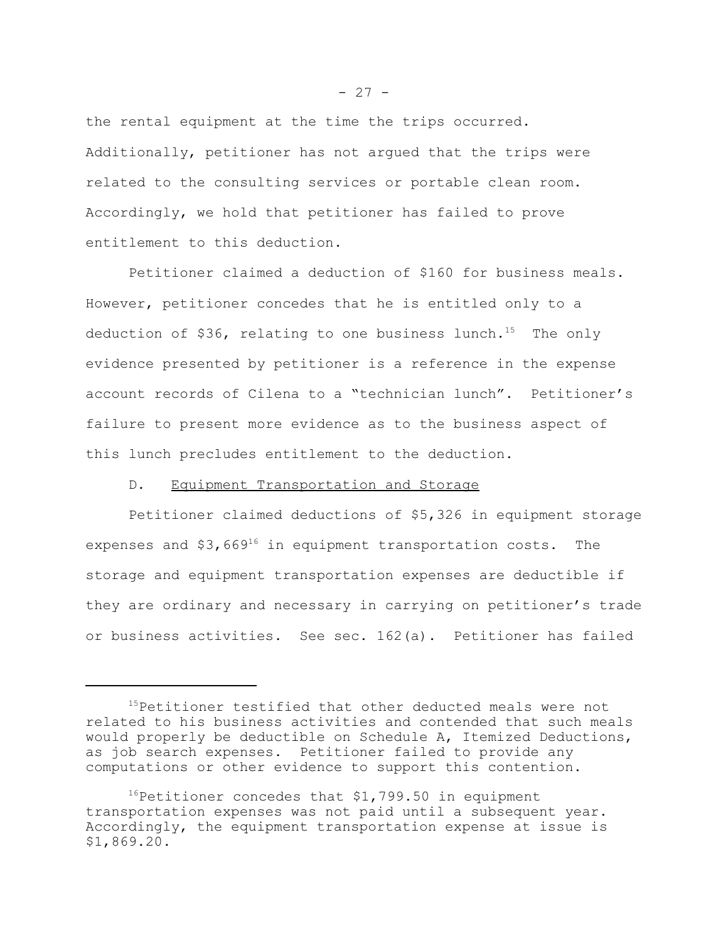the rental equipment at the time the trips occurred. Additionally, petitioner has not argued that the trips were related to the consulting services or portable clean room. Accordingly, we hold that petitioner has failed to prove entitlement to this deduction.

Petitioner claimed a deduction of \$160 for business meals. However, petitioner concedes that he is entitled only to a deduction of \$36, relating to one business lunch.<sup>15</sup> The only evidence presented by petitioner is a reference in the expense account records of Cilena to a "technician lunch". Petitioner's failure to present more evidence as to the business aspect of this lunch precludes entitlement to the deduction.

# D. Equipment Transportation and Storage

Petitioner claimed deductions of \$5,326 in equipment storage expenses and  $$3,669^{16}$  in equipment transportation costs. The storage and equipment transportation expenses are deductible if they are ordinary and necessary in carrying on petitioner's trade or business activities. See sec. 162(a). Petitioner has failed

 $- 27 -$ 

<sup>15</sup>Petitioner testified that other deducted meals were not related to his business activities and contended that such meals would properly be deductible on Schedule A, Itemized Deductions, as job search expenses. Petitioner failed to provide any computations or other evidence to support this contention.

 $16$ Petitioner concedes that \$1,799.50 in equipment transportation expenses was not paid until a subsequent year. Accordingly, the equipment transportation expense at issue is \$1,869.20.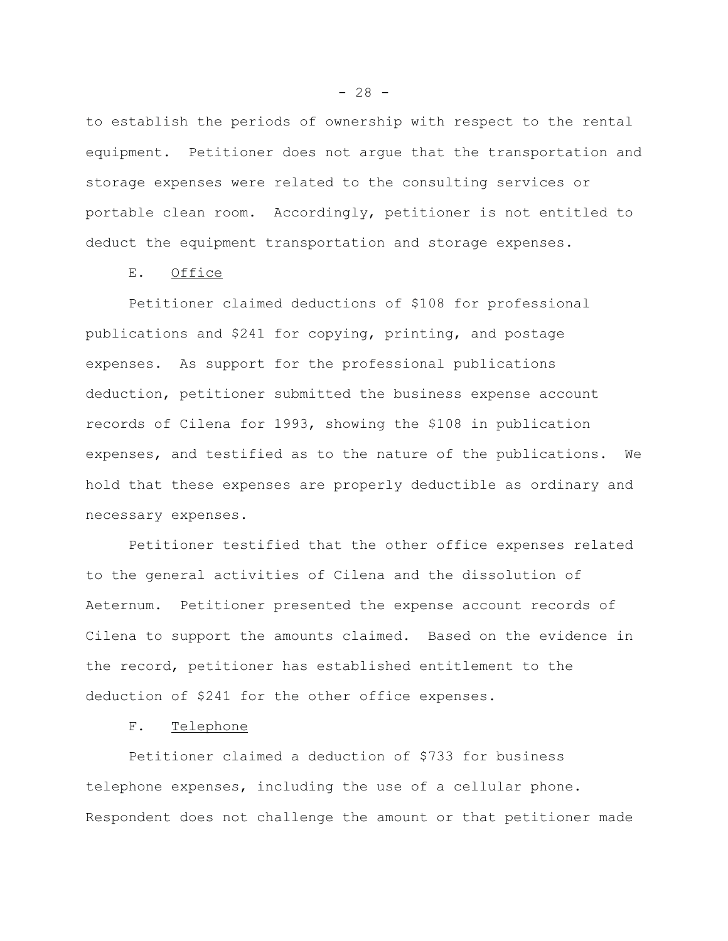to establish the periods of ownership with respect to the rental equipment. Petitioner does not argue that the transportation and storage expenses were related to the consulting services or portable clean room. Accordingly, petitioner is not entitled to deduct the equipment transportation and storage expenses.

E. Office

Petitioner claimed deductions of \$108 for professional publications and \$241 for copying, printing, and postage expenses. As support for the professional publications deduction, petitioner submitted the business expense account records of Cilena for 1993, showing the \$108 in publication expenses, and testified as to the nature of the publications. We hold that these expenses are properly deductible as ordinary and necessary expenses.

Petitioner testified that the other office expenses related to the general activities of Cilena and the dissolution of Aeternum. Petitioner presented the expense account records of Cilena to support the amounts claimed. Based on the evidence in the record, petitioner has established entitlement to the deduction of \$241 for the other office expenses.

F. Telephone

Petitioner claimed a deduction of \$733 for business telephone expenses, including the use of a cellular phone. Respondent does not challenge the amount or that petitioner made

 $- 28 -$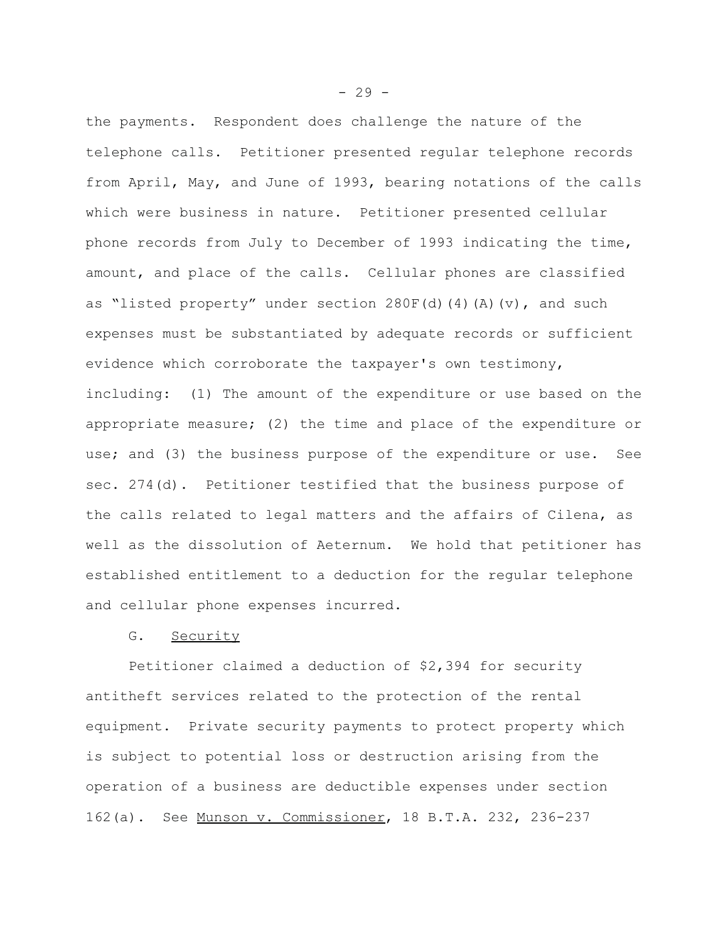the payments. Respondent does challenge the nature of the telephone calls. Petitioner presented regular telephone records from April, May, and June of 1993, bearing notations of the calls which were business in nature. Petitioner presented cellular phone records from July to December of 1993 indicating the time, amount, and place of the calls. Cellular phones are classified as "listed property" under section  $280F(d)(4)(A)(v)$ , and such expenses must be substantiated by adequate records or sufficient evidence which corroborate the taxpayer's own testimony, including: (1) The amount of the expenditure or use based on the appropriate measure; (2) the time and place of the expenditure or use; and (3) the business purpose of the expenditure or use. See sec. 274(d). Petitioner testified that the business purpose of the calls related to legal matters and the affairs of Cilena, as well as the dissolution of Aeternum. We hold that petitioner has established entitlement to a deduction for the regular telephone and cellular phone expenses incurred.

# G. Security

Petitioner claimed a deduction of \$2,394 for security antitheft services related to the protection of the rental equipment. Private security payments to protect property which is subject to potential loss or destruction arising from the operation of a business are deductible expenses under section 162(a). See Munson v. Commissioner, 18 B.T.A. 232, 236-237

 $-29 -$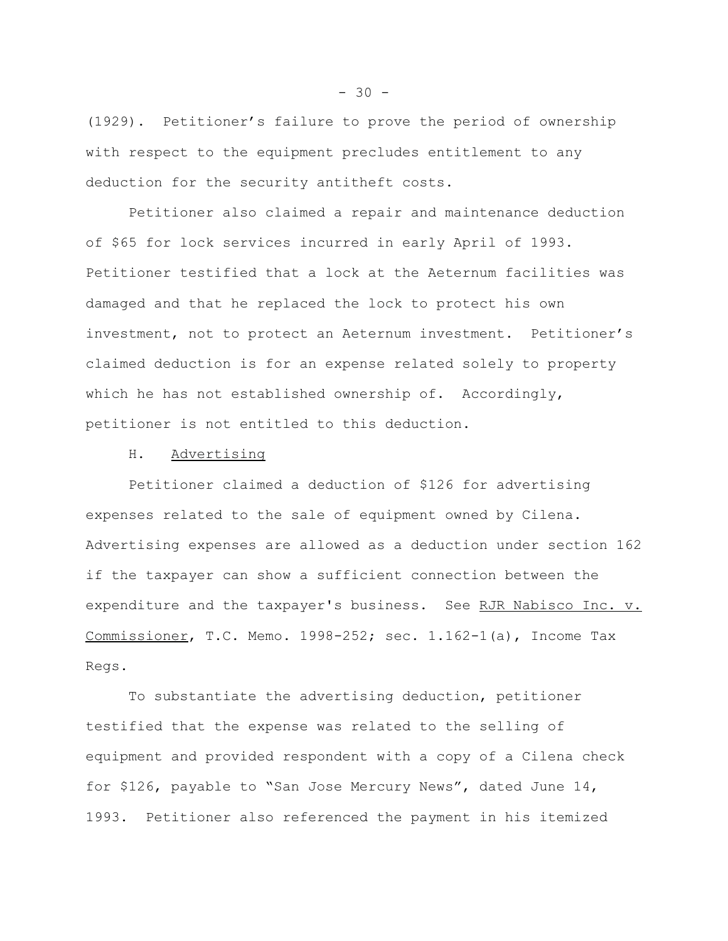(1929). Petitioner's failure to prove the period of ownership with respect to the equipment precludes entitlement to any deduction for the security antitheft costs.

Petitioner also claimed a repair and maintenance deduction of \$65 for lock services incurred in early April of 1993. Petitioner testified that a lock at the Aeternum facilities was damaged and that he replaced the lock to protect his own investment, not to protect an Aeternum investment. Petitioner's claimed deduction is for an expense related solely to property which he has not established ownership of. Accordingly, petitioner is not entitled to this deduction.

H. Advertising

Petitioner claimed a deduction of \$126 for advertising expenses related to the sale of equipment owned by Cilena. Advertising expenses are allowed as a deduction under section 162 if the taxpayer can show a sufficient connection between the expenditure and the taxpayer's business. See RJR Nabisco Inc. v. Commissioner, T.C. Memo. 1998-252; sec.  $1.162-1$ (a), Income Tax Regs.

To substantiate the advertising deduction, petitioner testified that the expense was related to the selling of equipment and provided respondent with a copy of a Cilena check for \$126, payable to "San Jose Mercury News", dated June 14, 1993. Petitioner also referenced the payment in his itemized

 $-30 -$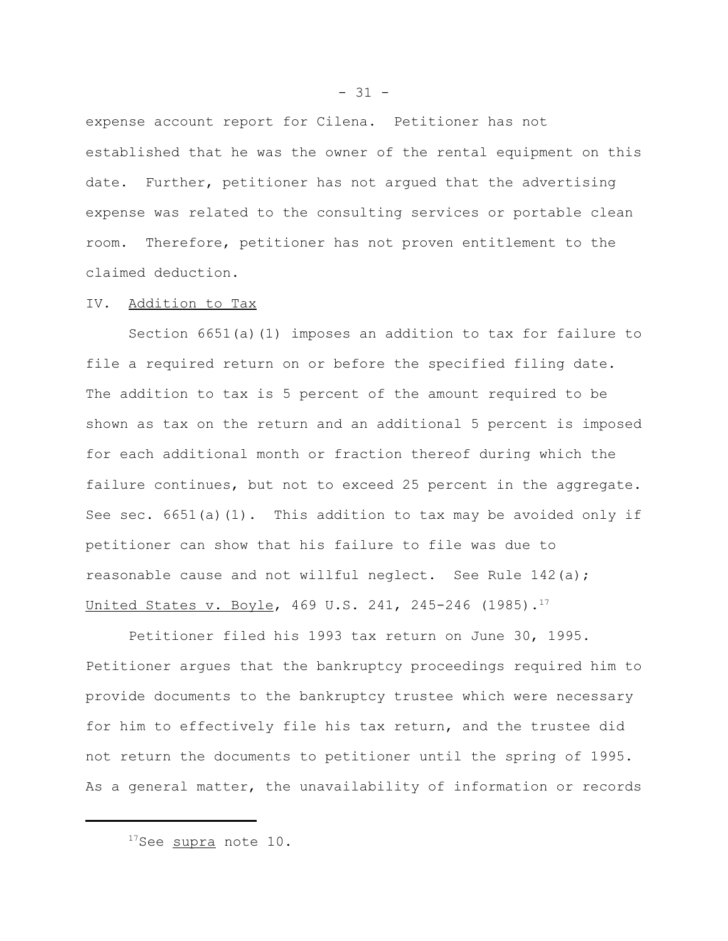expense account report for Cilena. Petitioner has not established that he was the owner of the rental equipment on this date. Further, petitioner has not argued that the advertising expense was related to the consulting services or portable clean room. Therefore, petitioner has not proven entitlement to the claimed deduction.

#### IV. Addition to Tax

Section 6651(a)(1) imposes an addition to tax for failure to file a required return on or before the specified filing date. The addition to tax is 5 percent of the amount required to be shown as tax on the return and an additional 5 percent is imposed for each additional month or fraction thereof during which the failure continues, but not to exceed 25 percent in the aggregate. See sec.  $6651(a)(1)$ . This addition to tax may be avoided only if petitioner can show that his failure to file was due to reasonable cause and not willful neglect. See Rule 142(a); United States v. Boyle, 469 U.S. 241, 245-246  $(1985)$ .<sup>17</sup>

Petitioner filed his 1993 tax return on June 30, 1995. Petitioner argues that the bankruptcy proceedings required him to provide documents to the bankruptcy trustee which were necessary for him to effectively file his tax return, and the trustee did not return the documents to petitioner until the spring of 1995. As a general matter, the unavailability of information or records

<sup>&</sup>lt;sup>17</sup>See supra note 10.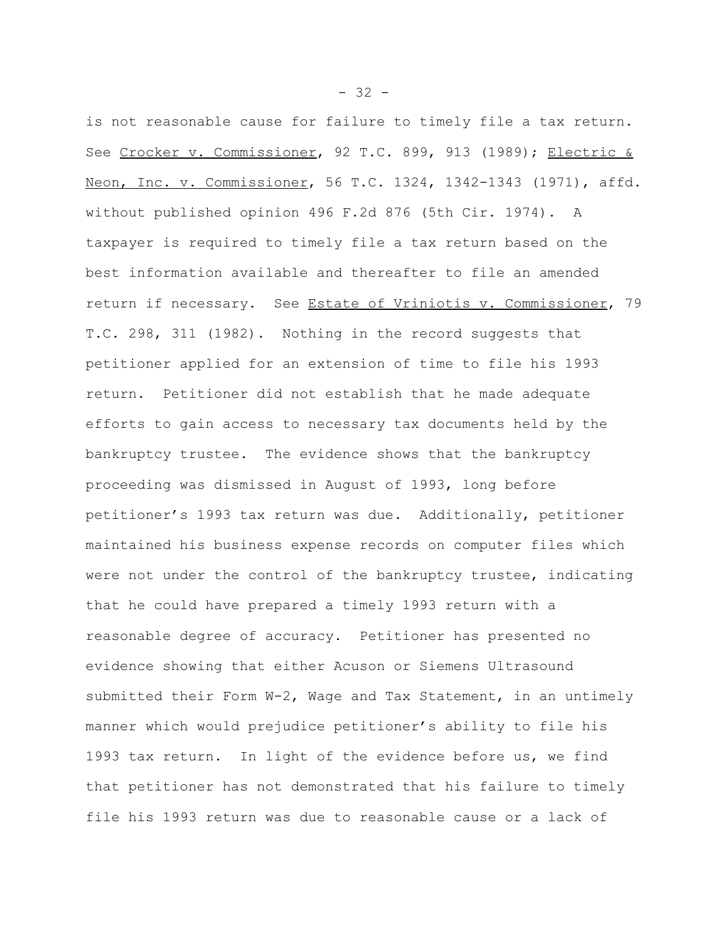is not reasonable cause for failure to timely file a tax return. See Crocker v. Commissioner, 92 T.C. 899, 913 (1989); Electric & Neon, Inc. v. Commissioner, 56 T.C. 1324, 1342-1343 (1971), affd. without published opinion 496 F.2d 876 (5th Cir. 1974). A taxpayer is required to timely file a tax return based on the best information available and thereafter to file an amended return if necessary. See Estate of Vriniotis v. Commissioner, 79 T.C. 298, 311 (1982). Nothing in the record suggests that petitioner applied for an extension of time to file his 1993 return. Petitioner did not establish that he made adequate efforts to gain access to necessary tax documents held by the bankruptcy trustee. The evidence shows that the bankruptcy proceeding was dismissed in August of 1993, long before petitioner's 1993 tax return was due. Additionally, petitioner maintained his business expense records on computer files which were not under the control of the bankruptcy trustee, indicating that he could have prepared a timely 1993 return with a reasonable degree of accuracy. Petitioner has presented no evidence showing that either Acuson or Siemens Ultrasound submitted their Form W-2, Wage and Tax Statement, in an untimely manner which would prejudice petitioner's ability to file his 1993 tax return. In light of the evidence before us, we find that petitioner has not demonstrated that his failure to timely file his 1993 return was due to reasonable cause or a lack of

 $- 32 -$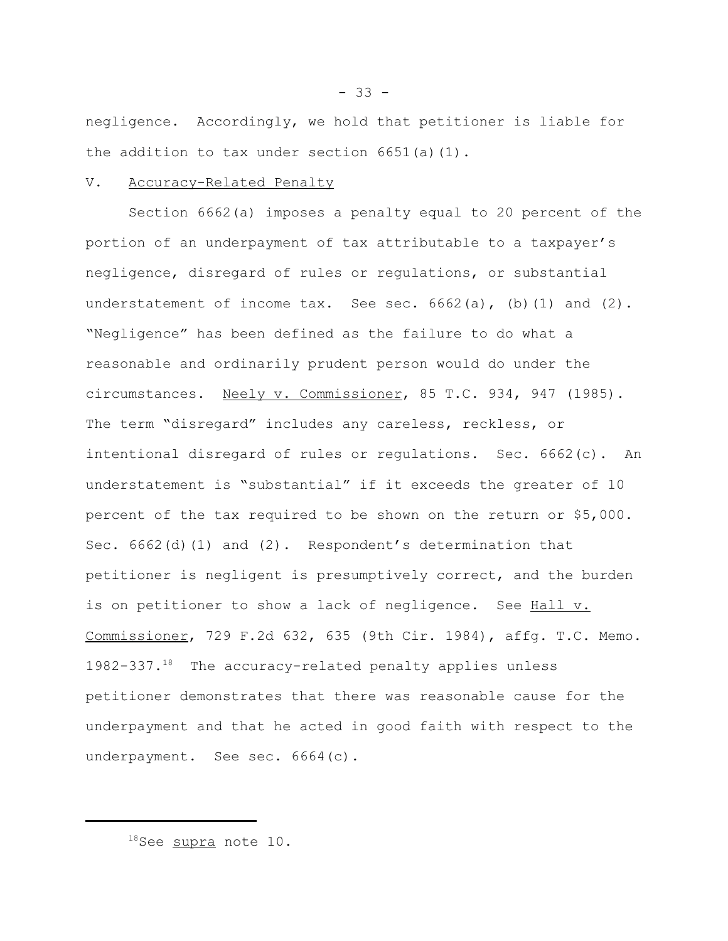negligence. Accordingly, we hold that petitioner is liable for the addition to tax under section 6651(a)(1).

### V. Accuracy-Related Penalty

Section 6662(a) imposes a penalty equal to 20 percent of the portion of an underpayment of tax attributable to a taxpayer's negligence, disregard of rules or regulations, or substantial understatement of income  $\text{tax.}$  See sec.  $6662(a)$ , (b)(1) and (2). "Negligence" has been defined as the failure to do what a reasonable and ordinarily prudent person would do under the circumstances. Neely v. Commissioner, 85 T.C. 934, 947 (1985). The term "disregard" includes any careless, reckless, or intentional disregard of rules or regulations. Sec. 6662(c). An understatement is "substantial" if it exceeds the greater of 10 percent of the tax required to be shown on the return or \$5,000. Sec. 6662(d)(1) and (2). Respondent's determination that petitioner is negligent is presumptively correct, and the burden is on petitioner to show a lack of negligence. See Hall v. Commissioner, 729 F.2d 632, 635 (9th Cir. 1984), affg. T.C. Memo. 1982-337.18 The accuracy-related penalty applies unless petitioner demonstrates that there was reasonable cause for the underpayment and that he acted in good faith with respect to the underpayment. See sec. 6664(c).

<sup>18</sup>See supra note 10.

 $-33 -$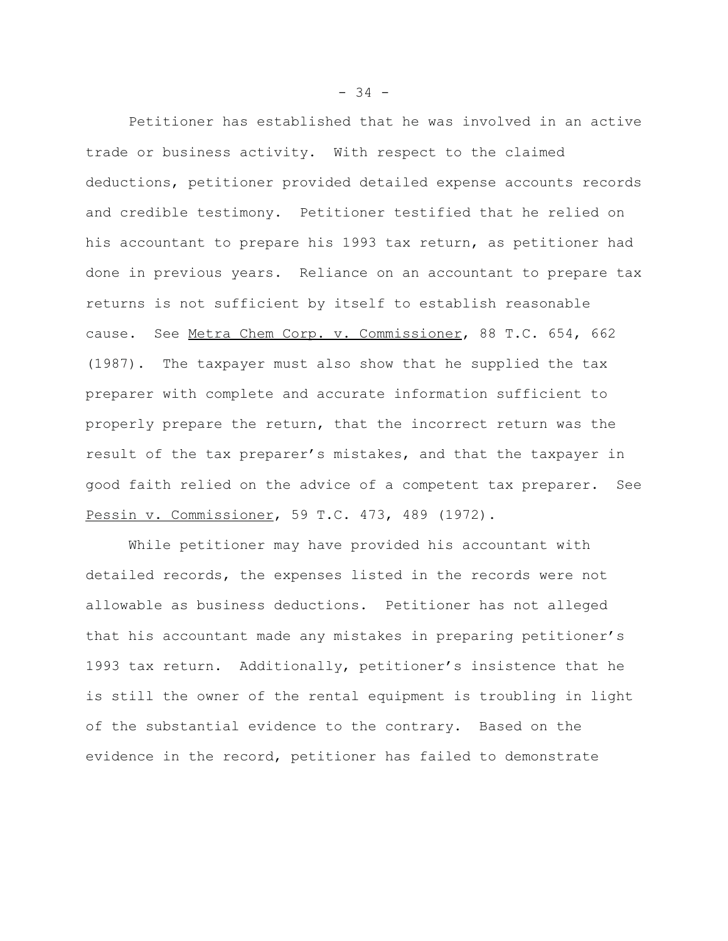Petitioner has established that he was involved in an active trade or business activity. With respect to the claimed deductions, petitioner provided detailed expense accounts records and credible testimony. Petitioner testified that he relied on his accountant to prepare his 1993 tax return, as petitioner had done in previous years. Reliance on an accountant to prepare tax returns is not sufficient by itself to establish reasonable cause. See Metra Chem Corp. v. Commissioner, 88 T.C. 654, 662 (1987). The taxpayer must also show that he supplied the tax preparer with complete and accurate information sufficient to properly prepare the return, that the incorrect return was the result of the tax preparer's mistakes, and that the taxpayer in good faith relied on the advice of a competent tax preparer. See Pessin v. Commissioner, 59 T.C. 473, 489 (1972).

While petitioner may have provided his accountant with detailed records, the expenses listed in the records were not allowable as business deductions. Petitioner has not alleged that his accountant made any mistakes in preparing petitioner's 1993 tax return. Additionally, petitioner's insistence that he is still the owner of the rental equipment is troubling in light of the substantial evidence to the contrary. Based on the evidence in the record, petitioner has failed to demonstrate

 $-34 -$